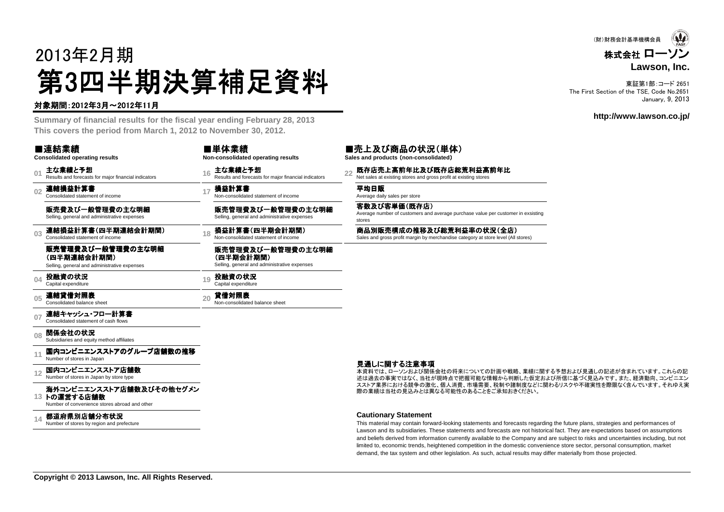# 2013年2月期第3四半期決算補足資料<br><del>"卿恩"</del>

#### 対象期間:2012年3月~2012年11月

 **Summary of financial results for the fiscal year ending February 28, 2013This covers the period from March 1, 2012 to November 30, 2012.**

|                | ■連結業績<br><b>Consolidated operating results</b>                                   |    | ■単体業績<br>Non-consolidated operating results                                    |    | ■売上及び商品の<br>Sales and products (non-co            |
|----------------|----------------------------------------------------------------------------------|----|--------------------------------------------------------------------------------|----|---------------------------------------------------|
| 01             | 主な業績と予想<br>Results and forecasts for major financial indicators                  | 16 | 主な業績と予想<br>Results and forecasts for major financial indicators                | 22 | 既存店売上高前年比<br>Net sales at existing stores a       |
| 0 <sub>2</sub> | 連結損益計算書<br>Consolidated statement of income                                      | 17 | 損益計算書<br>Non-consolidated statement of income                                  |    | 平均日販<br>Average daily sales per store             |
|                | 販売費及び一般管理費の主な明細<br>Selling, general and administrative expenses                  |    | 販売管理費及び一般管理費の主な明細<br>Selling, general and administrative expenses              |    | 客数及び客単価(既?<br>Average number of custome<br>stores |
| 03             | 連結損益計算書(四半期連結会計期間)<br>Consolidated statement of income                           | 18 | 損益計算書(四半期会計期間)<br>Non-consolidated statement of income                         |    | 商品別販売構成の推<br>Sales and gross profit margin        |
|                | 販売管理費及び一般管理費の主な明細<br>(四半期連結会計期間)<br>Selling, general and administrative expenses |    | 販売管理費及び一般管理費の主な明細<br>(四半期会計期間)<br>Selling, general and administrative expenses |    |                                                   |
| 04             | 投融資の状況<br>Capital expenditure                                                    | 19 | 投融資の状況<br>Capital expenditure                                                  |    |                                                   |
| 05             | 連結貸借対照表<br>Consolidated balance sheet                                            | 20 | 貸借対照表<br>Non-consolidated balance sheet                                        |    |                                                   |
| 07             | 連結キャッシュ・フロー計算書<br>Consolidated statement of cash flows                           |    |                                                                                |    |                                                   |
| 08             | 関係会社の状況<br>Subsidiaries and equity method affiliates                             |    |                                                                                |    |                                                   |
|                | 国内コンビニエンスストアのグループ店舗数の推移<br>Number of stores in Japan                             |    |                                                                                |    |                                                   |
|                | 国内コンビニエンスストア店舗数<br>Number of stores in Japan by store type                       |    |                                                                                |    | 見通しに関する注意<br>本資料では、ローソンおよ)<br>述は過去の事実ではなく、        |

#### **13**トの運営する店舗数海外コンビニエンスストア店舗数及びその他セグメン<br>トの運営する店舗数

Number of convenience stores abroad and other

#### **14都道府県別店舗分布状況**<br>Number of stores by region and prefecture

#### 及び商品の状況(単体)

**Sales and products** (**non-consolidated**)

**15 売上高前年比及び既存店総荒利益高前年比**<br>is at existing stores and gross profit at existing stores

客数及び客単価(既存店)Average number of customers and average purchase value per customer in exsisting

**1)販売構成の推移及び総荒利益率の状況(全店)**<br>id gross profit margin by merchandise category at store level (All stores)

#### 見通しに関する注意事項

 述は過去の事実ではなく、当社が現時点で把握可能な情報から判断した仮定および所信に基づく見込みです。また、経済動向、コンビニエン本資料では、ローソンおよび関係会社の将来についての計画や戦略、業績に関する予想および見通しの記述が含まれています。これらの記 スストア業界における競争の激化、個人消費、市場需要、税制や諸制度などに関わるリスクや不確実性を際限なく含んでいます。それゆえ実際の業績は当社の見込みとは異なる可能性のあることをご承知おきください。

#### **Cautionary Statement**

 This material may contain forward-looking statements and forecasts regarding the future plans, strategies and performances of Lawson and its subsidiaries. These statements and forecasts are not historical fact. They are expectations based on assumptions and beliefs derived from information currently available to the Company and are subject to risks and uncertainties including, but notlimited to, economic trends, heightened competition in the domestic convenience store sector, personal consumption, marketdemand, the tax system and other legislation. As such, actual results may differ materially from those projected.

株式会社 ローソン **Lawson, Inc.**(財)財務会計基準機構会員

東証第1部:コード 2651 The First Section of the TSE, Code No.2651January, 9, 2013

#### **http://www.lawson.co.jp/**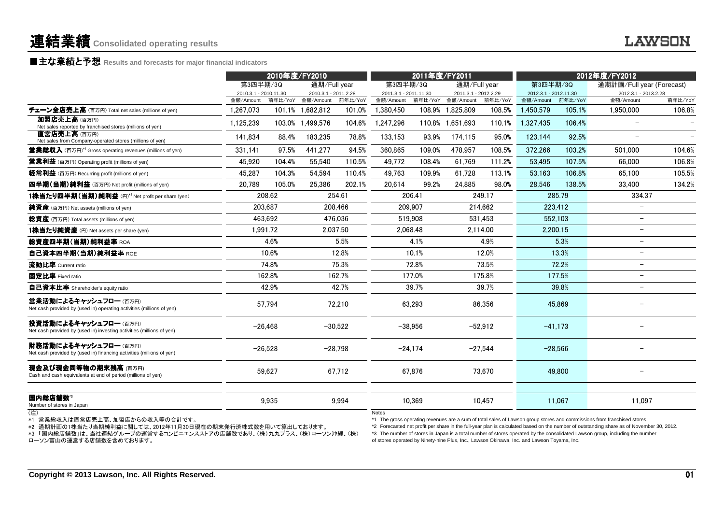#### ■主な業績と予想 **Results and forecasts for major financial indicators**

|                                                                                                                                                                                                        | 2010年度/FY2010         |           |                      | 2011年度/FY2011 |                                               |                          | 2012年度/FY2012         |           |                                                                                            |           |                                                                                                                                                                                                                                                                                                                                                                                                     |                 |
|--------------------------------------------------------------------------------------------------------------------------------------------------------------------------------------------------------|-----------------------|-----------|----------------------|---------------|-----------------------------------------------|--------------------------|-----------------------|-----------|--------------------------------------------------------------------------------------------|-----------|-----------------------------------------------------------------------------------------------------------------------------------------------------------------------------------------------------------------------------------------------------------------------------------------------------------------------------------------------------------------------------------------------------|-----------------|
|                                                                                                                                                                                                        | 第3四半期/3Q              |           | 通期/Full year         |               |                                               | 通期/Full year<br>第3四半期/3Q |                       |           | 第3四半期/3Q                                                                                   |           | 通期計画/Full year (Forecast)                                                                                                                                                                                                                                                                                                                                                                           |                 |
|                                                                                                                                                                                                        | 2010.3.1 - 2010.11.30 |           | 2010.3.1 - 2011.2.28 |               | 2011.3.1 - 2011.11.30<br>2011.3.1 - 2012.2.29 |                          | 2012.3.1 - 2012.11.30 |           | 2012.3.1 - 2013.2.28                                                                       |           |                                                                                                                                                                                                                                                                                                                                                                                                     |                 |
|                                                                                                                                                                                                        | 金額/Amount             | 前年比/YoY   | 金額/Amount            | 前年比/YoY       | 金額/Amount                                     | 前年比/YoY                  | 金額/Amount             | 前年比/YoY   | 金額/Amount                                                                                  | 前年比/YoY   | 金額/Amount                                                                                                                                                                                                                                                                                                                                                                                           | 前年比/YoY         |
| チェーン全店売上高 (百万円) Total net sales (millions of yen)                                                                                                                                                      | 1.267.073             |           | 101.1% 1.682.812     | 101.0%        | 1.380.450                                     |                          | 108.9% 1.825.809      | 108.5%    | 1,450,579                                                                                  | 105.1%    | 1,950,000                                                                                                                                                                                                                                                                                                                                                                                           | 106.8%          |
| 加盟店売上高(百万円)<br>Net sales reported by franchised stores (millions of yen)                                                                                                                               | 1.125.239             |           | 103.0% 1,499,576     | 104.6%        | 1.247.296                                     |                          | 110.8% 1,651,693      | 110.1%    | 1,327,435                                                                                  | 106.4%    | $\overline{\phantom{a}}$                                                                                                                                                                                                                                                                                                                                                                            |                 |
| 直営店売上高(百万円)<br>Net sales from Company-operated stores (millions of yen)                                                                                                                                | 141.834               | 88.4%     | 183,235              | 78.8%         | 133.153                                       | 93.9%                    | 174.115               | 95.0%     | 123.144                                                                                    | 92.5%     |                                                                                                                                                                                                                                                                                                                                                                                                     |                 |
| <b>営業総収入</b> (百万円) <sup>*1</sup> Gross operating revenues (millions of yen)                                                                                                                            | 331,141               | 97.5%     | 441,277              | 94.5%         | 360.865                                       | 109.0%                   | 478.957               | 108.5%    | 372,266                                                                                    | 103.2%    | 501,000                                                                                                                                                                                                                                                                                                                                                                                             | 104.6%          |
| <b>営業利益</b> (百万円) Operating profit (millions of yen)                                                                                                                                                   | 45,920                | 104.4%    | 55,540               | 110.5%        | 49,772                                        | 108.4%                   | 61,769                | 111.2%    | 53,495                                                                                     | 107.5%    | 66,000                                                                                                                                                                                                                                                                                                                                                                                              | 106.8%          |
| 経常利益 (百万円) Recurring profit (millions of yen)                                                                                                                                                          | 45,287                | 104.3%    | 54,594               | 110.4%        | 49,763                                        | 109.9%                   | 61,728                | 113.1%    | 53.163                                                                                     | 106.8%    | 65,100                                                                                                                                                                                                                                                                                                                                                                                              | 105.5%          |
| 四半期(当期)純利益 (百万円) Net profit (millions of yen)                                                                                                                                                          | 20,789                | 105.0%    | 25,386               | 202.1%        | 20.614                                        | 99.2%                    | 24.885                | 98.0%     | 28.546                                                                                     | 138.5%    | 33,400                                                                                                                                                                                                                                                                                                                                                                                              | 134.2%          |
| 1株当たり四半期 (当期) 純利益 (円)*2 Net profit per share (yen)                                                                                                                                                     |                       | 208.62    |                      | 254.61        |                                               | 206.41                   |                       | 249.17    |                                                                                            | 285.79    | 334.37                                                                                                                                                                                                                                                                                                                                                                                              |                 |
| 純資産 (百万円) Net assets (millions of yen)                                                                                                                                                                 |                       | 203.687   |                      | 208.466       |                                               | 209.907                  |                       | 214.662   |                                                                                            | 223.412   |                                                                                                                                                                                                                                                                                                                                                                                                     |                 |
| 総資産 (百万円) Total assets (millions of yen)                                                                                                                                                               |                       | 463,692   |                      | 476,036       |                                               | 519,908                  |                       | 531.453   |                                                                                            | 552,103   |                                                                                                                                                                                                                                                                                                                                                                                                     |                 |
| 1株当たり純資産 (円) Net assets per share (yen)                                                                                                                                                                |                       | 1,991.72  |                      | 2.037.50      |                                               | 2.068.48                 | 2.114.00              |           | 2,200.15                                                                                   |           | $\overline{\phantom{0}}$                                                                                                                                                                                                                                                                                                                                                                            |                 |
| <b>総資産四半期(当期)純利益率 ROA</b>                                                                                                                                                                              | 4.6%                  |           |                      | 5.5%          |                                               | 4.1%                     | 4.9%                  |           | 5.3%                                                                                       |           | $\overline{\phantom{a}}$                                                                                                                                                                                                                                                                                                                                                                            |                 |
| 自己資本四半期(当期)純利益率 ROE                                                                                                                                                                                    | 10.6%                 |           |                      | 12.8%         |                                               | 10.1%                    | 12.0%                 |           | 13.3%                                                                                      |           | $\overline{\phantom{a}}$                                                                                                                                                                                                                                                                                                                                                                            |                 |
| 流動比率 Current ratio                                                                                                                                                                                     |                       | 74.8%     | 75.3%                |               |                                               | 72.8%                    | 73.5%                 |           | 72.2%                                                                                      |           | $\overline{\phantom{a}}$                                                                                                                                                                                                                                                                                                                                                                            |                 |
| 固定比率 Fixed ratio                                                                                                                                                                                       |                       | 162.8%    | 162.7%               |               |                                               | 177.0%                   | 175.8%                |           |                                                                                            | 177.5%    |                                                                                                                                                                                                                                                                                                                                                                                                     |                 |
| 自己資本比率 Shareholder's equity ratio                                                                                                                                                                      |                       | 42.9%     |                      | 42.7%         |                                               | 39.7%                    |                       | 39.7%     |                                                                                            | 39.8%     | $\overline{\phantom{0}}$                                                                                                                                                                                                                                                                                                                                                                            |                 |
| 営業活動によるキャッシュフロー (百万円)<br>Net cash provided by (used in) operating activities (millions of yen)                                                                                                         |                       | 57,794    |                      | 72,210        |                                               | 63,293                   |                       | 86.356    |                                                                                            | 45.869    |                                                                                                                                                                                                                                                                                                                                                                                                     |                 |
| 投資活動によるキャッシュフロー (百万円)<br>Net cash provided by (used in) investing activities (millions of yen)                                                                                                         |                       | $-26.468$ |                      | $-30,522$     |                                               | $-38.956$                |                       | $-52.912$ |                                                                                            | $-41.173$ |                                                                                                                                                                                                                                                                                                                                                                                                     |                 |
| 財務活動によるキャッシュフロー(百万円)<br>Net cash provided by (used in) financing activities (millions of yen)                                                                                                          |                       | $-26,528$ |                      | $-28,798$     |                                               | $-24,174$                |                       | $-27,544$ |                                                                                            | $-28,566$ |                                                                                                                                                                                                                                                                                                                                                                                                     |                 |
| <b>現金及び現金同等物の期末残高</b> (百万円)<br>Cash and cash equivalents at end of period (millions of yen)                                                                                                            |                       | 59.627    |                      | 67,712        |                                               | 67.876                   |                       | 73.670    |                                                                                            | 49,800    |                                                                                                                                                                                                                                                                                                                                                                                                     |                 |
| 国内総店舗数"<br>Number of stores in Japan                                                                                                                                                                   |                       | 9,935     |                      | 9,994         |                                               | 10,369                   |                       | 10,457    |                                                                                            | 11,067    | 11,097                                                                                                                                                                                                                                                                                                                                                                                              |                 |
| (注)<br>*1 営業総収入は直営店売上高、加盟店からの収入等の合計です。<br>*2 通期計画の1株当たり当期純利益に関しては、2012年11月30日現在の期末発行済株式数を用いて算出しております。<br>*3 「国内総店舗数」は、当社連結グループの運営するコンビニエンスストアの店舗数であり、(株)九九プラス、(株)ローソン沖縄、(株)<br>ローソン富山の運営する店舗数を含めております。 |                       |           |                      |               | <b>Notes</b>                                  |                          |                       |           | of stores operated by Ninety-nine Plus, Inc., Lawson Okinawa, Inc. and Lawson Toyama, Inc. |           | *1 The gross operating revenues are a sum of total sales of Lawson group stores and commissions from franchised stores.<br>*2 Forecasted net profit per share in the full-year plan is calculated based on the number of outstanding share as of November 30, 2012.<br>*3 The number of stores in Japan is a total number of stores operated by the consolidated Lawson group, including the number |                 |
| Copyright © 2013 Lawson, Inc. All Rights Reserved.                                                                                                                                                     |                       |           |                      |               |                                               |                          |                       |           |                                                                                            |           |                                                                                                                                                                                                                                                                                                                                                                                                     | $\overline{01}$ |

(注)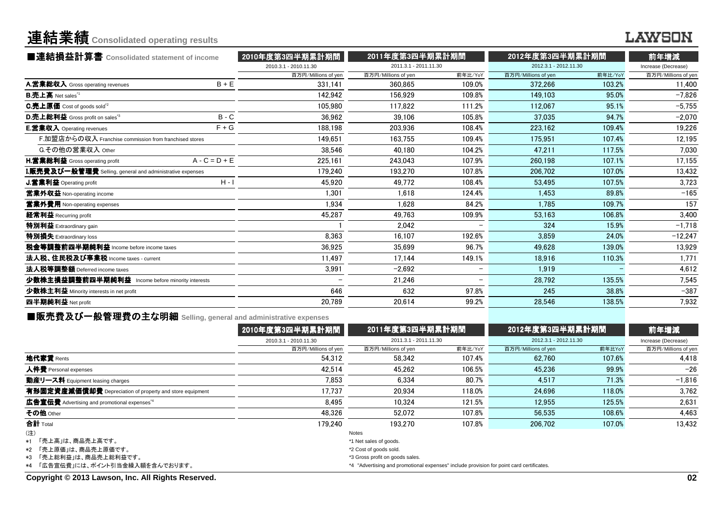# 連結業績**Consolidated operating results**

### **LAWSON**

| ■連結損益計算書 Consolidated statement of income                 |                 | 2010年度第3四半期累計期間       | 2011年度第3四半期累計期間       |                          | 2012年度第3四半期累計期間       | 前年増減    |                     |
|-----------------------------------------------------------|-----------------|-----------------------|-----------------------|--------------------------|-----------------------|---------|---------------------|
|                                                           |                 | 2010.3.1 - 2010.11.30 | 2011.3.1 - 2011.11.30 |                          | 2012.3.1 - 2012.11.30 |         | Increase (Decrease) |
|                                                           |                 | 百万円/Millions of yen   | 百万円/Millions of yen   | 前年比/YoY                  | 百万円/Millions of yen   | 前年比/YoY | 百万円/Millions of yen |
| A.営業総収入 Gross operating revenues                          | $B + E$         | 331.141               | 360.865               | 109.0%                   | 372.266               | 103.2%  | 11,400              |
| $B.\bar{+}$ 上高 Net sales $^{\text{\tiny 1}}$              |                 | 142.942               | 156.929               | 109.8%                   | 149,103               | 95.0%   | $-7,826$            |
| C.売上原価 Cost of goods sold <sup>*2</sup>                   |                 | 105.980               | 117.822               | 111.2%                   | 112.067               | 95.1%   | $-5.755$            |
| D.売上総利益 Gross profit on sales <sup>"3</sup>               | $B - C$         | 36,962                | 39.106                | 105.8%                   | 37.035                | 94.7%   | $-2,070$            |
| <b>E.営業収入</b> Operating revenues                          | $F + G$         | 188.198               | 203.936               | 108.4%                   | 223.162               | 109.4%  | 19.226              |
| F.加盟店からの収入 Franchise commission from franchised stores    |                 | 149.651               | 163.755               | 109.4%                   | 175.951               | 107.4%  | 12,195              |
| G.その他の営業収入 Other                                          |                 | 38,546                | 40.180                | 104.2%                   | 47,211                | 117.5%  | 7,030               |
| H.営業総利益 Gross operating profit                            | $A - C = D + E$ | 225,161               | 243.043               | 107.9%                   | 260,198               | 107.1%  | 17,155              |
| I.販売費及び一般管理費 Selling, general and administrative expenses |                 | 179,240               | 193.270               | 107.8%                   | 206.702               | 107.0%  | 13,432              |
| J.営業利益 Operating profit                                   | $H - I$         | 45,920                | 49,772                | 108.4%                   | 53.495                | 107.5%  | 3,723               |
| 営業外収益 Non-operating income                                |                 | 1.301                 | 1.618                 | 124.4%                   | 1.453                 | 89.8%   | $-165$              |
| 営業外費用 Non-operating expenses                              |                 | 1.934                 | 1.628                 | 84.2%                    | 1.785                 | 109.7%  | 157                 |
| 経常利益 Recurring profit                                     |                 | 45,287                | 49.763                | 109.9%                   | 53.163                | 106.8%  | 3,400               |
| <b>特別利益</b> Extraordinary gain                            |                 |                       | 2.042                 |                          | 324                   | 15.9%   | $-1,718$            |
| 特別損失 Extraordinary loss                                   |                 | 8,363                 | 16.107                | 192.6%                   | 3.859                 | 24.0%   | $-12,247$           |
| 税金等調整前四半期純利益 Income before income taxes                   |                 | 36.925                | 35.699                | 96.7%                    | 49.628                | 139.0%  | 13.929              |
| 法人税、住民税及び事業税 Income taxes - current                       |                 | 11.497                | 17.144                | 149.1%                   | 18.916                | 110.3%  | 1,771               |
| 法人税等調整額 Deferred income taxes                             |                 | 3,991                 | $-2.692$              | $\overline{\phantom{m}}$ | 1.919                 |         | 4,612               |
| 少数株主損益調整前四半期純利益 Income before minority interests          |                 |                       | 21.246                |                          | 28.792                | 135.5%  | 7,545               |
| 少数株主利益 Minority interests in net profit                   |                 | 646                   | 632                   | 97.8%                    | 245                   | 38.8%   | $-387$              |
| 四半期純利益 Net profit                                         |                 | 20,789                | 20.614                | 99.2%                    | 28,546                | 138.5%  | 7,932               |
|                                                           |                 |                       |                       |                          |                       |         |                     |

■販売費及び一般管理費の主な明細 Selling, general and administrative expenses<br>● 2010年生第四半第四号

|                                                          | 2010年度第3四半期累計期間                 | 2011年度第3四半期累計期間                                                                          |         | 2012年度第3四半期累計期間       |        | 前年増減                |
|----------------------------------------------------------|---------------------------------|------------------------------------------------------------------------------------------|---------|-----------------------|--------|---------------------|
|                                                          | 2010.3.1 - 2010.11.30           | 2011.3.1 - 2011.11.30                                                                    |         | 2012.3.1 - 2012.11.30 |        | Increase (Decrease) |
|                                                          | 百万円/Millions of yen             | 百万円/Millions of yen                                                                      | 前年比/YoY | 百万円/Millions of yen   | 前年比YoY | 百万円/Millions of yen |
| 地代家賃 Rents                                               | 54.312                          | 58.342                                                                                   | 107.4%  | 62.760                | 107.6% | 4.418               |
| 人件費 Personal expenses                                    | 42.514                          | 45.262                                                                                   | 106.5%  | 45.236                | 99.9%  | $-26$               |
| 動産リース料 Equipment leasing charges                         | 7.853                           | 6.334                                                                                    | 80.7%   | 4.517                 | 71.3%  | $-1,816$            |
| 有形固定資産減価償却費 Depreciation of property and store equipment | 17.737                          | 20.934                                                                                   | 118.0%  | 24.696                | 118.0% | 3.762               |
| 広告宣伝費 Advertising and promotional expenses <sup>*4</sup> | 8.495                           | 10.324                                                                                   | 121.5%  | 12.955                | 125.5% | 2,631               |
| その他 Other                                                | 48.326                          | 52.072                                                                                   | 107.8%  | 56.535                | 108.6% | 4,463               |
| 合計 Total                                                 | 179.240                         | 193.270                                                                                  | 107.8%  | 206,702               | 107.0% | 13.432              |
| (注)                                                      |                                 | <b>Notes</b>                                                                             |         |                       |        |                     |
| 「売上高  は、商品売上高です。<br>$*1$                                 |                                 | *1 Net sales of goods.                                                                   |         |                       |        |                     |
| *2 「売上原価」は、商品売上原価です。                                     | *2 Cost of goods sold.          |                                                                                          |         |                       |        |                     |
| *3 「売上総利益」は、商品売上総利益です。                                   | *3 Gross profit on goods sales. |                                                                                          |         |                       |        |                     |
| *4 「広告宣伝費」には、ポイント引当金繰入額を含んでおります。                         |                                 | *4 "Advertising and promotional expenses" include provision for point card certificates. |         |                       |        |                     |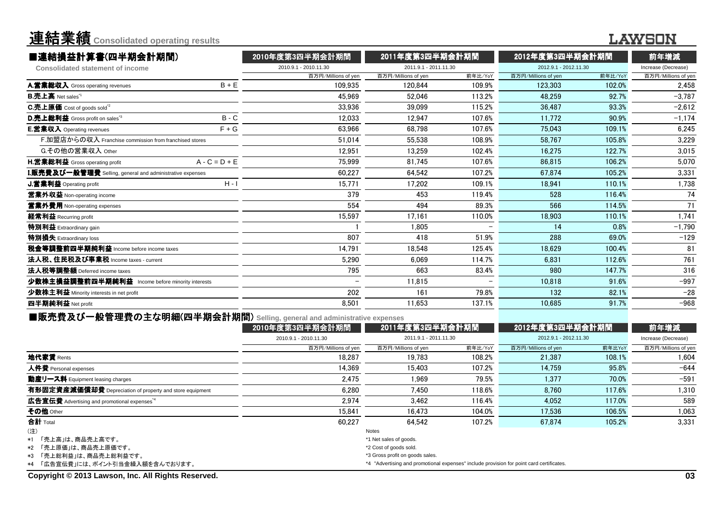| 連結業績 Consolidated operating results                       |                 |                       |                       |         |                       |         | LAWSON              |  |
|-----------------------------------------------------------|-----------------|-----------------------|-----------------------|---------|-----------------------|---------|---------------------|--|
| ■連結損益計算書(四半期会計期間)                                         |                 | 2010年度第3四半期会計期間       | 2011年度第3四半期会計期間       |         | 2012年度第3四半期会計期間       |         | 前年増減                |  |
| <b>Consolidated statement of income</b>                   |                 | 2010.9.1 - 2010.11.30 | 2011.9.1 - 2011.11.30 |         | 2012.9.1 - 2012.11.30 |         | Increase (Decrease) |  |
|                                                           |                 | 百万円/Millions of yen   | 百万円/Millions of yen   | 前年比/YoY | 百万円/Millions of yen   | 前年比/YoY | 百万円/Millions of yen |  |
| A.営業総収入 Gross operating revenues                          | $B + E$         | 109.935               | 120.844               | 109.9%  | 123.303               | 102.0%  | 2.458               |  |
| <b>B.売上高</b> Net sales <sup>"1</sup>                      |                 | 45.969                | 52.046                | 113.2%  | 48.259                | 92.7%   | $-3,787$            |  |
| C.売上原価 Cost of goods sold <sup>"2</sup>                   |                 | 33.936                | 39.099                | 115.2%  | 36.487                | 93.3%   | $-2.612$            |  |
| D.売上総利益 Gross profit on sales"3                           | $B - C$         | 12.033                | 12.947                | 107.6%  | 11.772                | 90.9%   | $-1,174$            |  |
| E.営業収入 Operating revenues                                 | $F + G$         | 63.966                | 68.798                | 107.6%  | 75.043                | 109.1%  | 6.245               |  |
| F.加盟店からの収入 Franchise commission from franchised stores    |                 | 51.014                | 55.538                | 108.9%  | 58.767                | 105.8%  | 3,229               |  |
| G.その他の営業収入 Other                                          |                 | 12.951                | 13.259                | 102.4%  | 16.275                | 122.7%  | 3.015               |  |
| H.営業総利益 Gross operating profit                            | $A - C = D + E$ | 75.999                | 81.745                | 107.6%  | 86,815                | 106.2%  | 5.070               |  |
| I.販売費及び一般管理費 Selling, general and administrative expenses |                 | 60,227                | 64,542                | 107.2%  | 67,874                | 105.2%  | 3,331               |  |
| J.営業利益 Operating profit                                   | $H - I$         | 15.771                | 17,202                | 109.1%  | 18,941                | 110.1%  | 1,738               |  |
| 営業外収益 Non-operating income                                |                 | 379                   | 453                   | 119.4%  | 528                   | 116.4%  | 74                  |  |
| 営業外費用 Non-operating expenses                              |                 | 554                   | 494                   | 89.3%   | 566                   | 114.5%  | 71                  |  |
| 経常利益 Recurring profit                                     |                 | 15,597                | 17.161                | 110.0%  | 18,903                | 110.1%  | 1,741               |  |
| 特別利益 Extraordinary gain                                   |                 |                       | 1.805                 |         | 14                    | 0.8%    | $-1,790$            |  |
| 特別損失 Extraordinary loss                                   |                 | 807                   | 418                   | 51.9%   | 288                   | 69.0%   | $-129$              |  |
| 税金等調整前四半期純利益 Income before income taxes                   |                 | 14.791                | 18.548                | 125.4%  | 18.629                | 100.4%  | 81                  |  |
| 法人税、住民税及び事業税 Income taxes - current                       |                 | 5,290                 | 6.069                 | 114.7%  | 6,831                 | 112.6%  | 761                 |  |
| 法人税等調整額 Deferred income taxes                             |                 | 795                   | 663                   | 83.4%   | 980                   | 147.7%  | 316                 |  |
| 少数株主損益調整前四半期純利益 Income before minority interests          |                 |                       | 11,815                |         | 10.818                | 91.6%   | $-997$              |  |
| 少数株主利益 Minority interests in net profit                   |                 | 202                   | 161                   | 79.8%   | 132                   | 82.1%   | $-28$               |  |
| 四半期純利益 Net profit                                         |                 | 8.501                 | 11.653                | 137.1%  | 10.685                | 91.7%   | $-968$              |  |
|                                                           |                 |                       |                       |         |                       |         |                     |  |

### ■販売費及び一般管理費の主な明細(四半期会計期間 (四半期会計期間) **Selling, general and administrative expenses**

|                                                          | 2010年度第3四半期会計期間        | 2011年度第3四半期会計期間                                                                          |                       | 2012年度第3四半期会計期間     |                       | 前年増減                |
|----------------------------------------------------------|------------------------|------------------------------------------------------------------------------------------|-----------------------|---------------------|-----------------------|---------------------|
|                                                          | 2010.9.1 - 2010.11.30  |                                                                                          | 2011.9.1 - 2011.11.30 |                     | 2012.9.1 - 2012.11.30 |                     |
|                                                          | 百万円/Millions of yen    | 百万円/Millions of yen                                                                      | 前年比/YoY               | 百万円/Millions of yen | 前年比YoY                | 百万円/Millions of yen |
| 地代家賃 Rents                                               | 18.287                 | 19.783                                                                                   | 108.2%                | 21.387              | 108.1%                | 1.604               |
| 人件費 Personal expenses                                    | 14.369                 | 15.403                                                                                   | 107.2%                | 14.759              | 95.8%                 | $-644$              |
| 動産リース料 Equipment leasing charges                         | 2.475                  | 1.969                                                                                    | 79.5%                 | 1.377               | 70.0%                 | $-591$              |
| 有形固定資産減価償却費 Depreciation of property and store equipment | 6.280                  | 7.450                                                                                    | 118.6%                | 8.760               | 117.6%                | 1.310               |
| 広告宣伝費 Advertising and promotional expenses <sup>*4</sup> | 2.974                  | 3.462                                                                                    | 116.4%                | 4.052               | 117.0%                | 589                 |
| その他 Other                                                | 15.841                 | 16.473                                                                                   | 104.0%                | 17.536              | 106.5%                | 1.063               |
| 合計 Total                                                 | 60.227                 | 64.542                                                                                   | 107.2%                | 67.874              | 105.2%                | 3.331               |
| (注)                                                      |                        | Notes                                                                                    |                       |                     |                       |                     |
| *1 「売上高」は、商品売上高です。                                       |                        | *1 Net sales of goods.                                                                   |                       |                     |                       |                     |
| *2 「売上原価」は、商品売上原価です。                                     | *2 Cost of goods sold. |                                                                                          |                       |                     |                       |                     |
| *3 「売上総利益」は、商品売上総利益です。                                   |                        | *3 Gross profit on goods sales.                                                          |                       |                     |                       |                     |
| *4 「広告宣伝費」には、ポイント引当金繰入額を含んでおります。                         |                        | *4 "Advertising and promotional expenses" include provision for point card certificates. |                       |                     |                       |                     |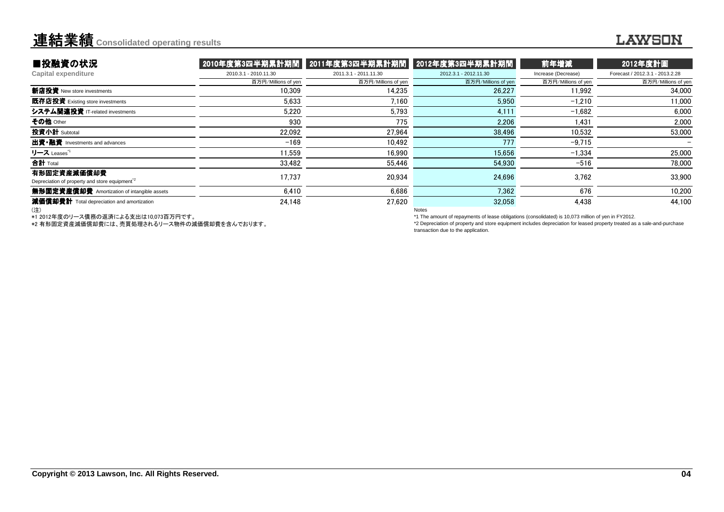#### 連結業績**Consolidated operating results**

#### **LAWSON**

| ■投融資の状況                                                                  |                       | │2010年度第3四半期累計期間 │2011年度第3四半期累計期間 │2012年度第3四半期累計期間│ |                       | 前年増減                | 2012年度計画                        |
|--------------------------------------------------------------------------|-----------------------|-----------------------------------------------------|-----------------------|---------------------|---------------------------------|
| <b>Capital expenditure</b>                                               | 2010.3.1 - 2010.11.30 | 2011.3.1 - 2011.11.30                               | 2012.3.1 - 2012.11.30 | Increase (Decrease) | Forecast / 2012.3.1 - 2013.2.28 |
|                                                                          | 百万円/Millions of yen   | 百万円/Millions of yen                                 | 百万円/Millions of yen   | 百万円/Millions of yen | 百万円/Millions of yen             |
| 新店投資 New store investments                                               | 10.309                | 14.235                                              | 26,227                | 11.992              | 34,000                          |
| 既存店投資 Existing store investments                                         | 5,633                 | 7.160                                               | 5.950                 | $-1.210$            | 11.000                          |
| システム関連投資 IT-related investments                                          | 5.220                 | 5.793                                               | 4.111                 | $-1.682$            | 6,000                           |
| その他 Other                                                                | 930                   | 775                                                 | 2.206                 | 1.431               | 2,000                           |
| 投資小計 Subtotal                                                            | 22,092                | 27.964                                              | 38,496                | 10.532              | 53,000                          |
| 出資•融資 Investments and advances                                           | $-169$                | 10.492                                              | 777                   | $-9.715$            |                                 |
| リース Leases <sup>*1</sup>                                                 | 11.559                | 16.990                                              | 15,656                | $-1.334$            | 25,000                          |
| <b>合計</b> Total                                                          | 33,482                | 55,446                                              | 54,930                | $-516$              | 78,000                          |
| 有形固定資産減価償却費<br>Depreciation of property and store equipment <sup>2</sup> | 17.737                | 20,934                                              | 24,696                | 3.762               | 33,900                          |
| 無形固定資産償却費 Amortization of intangible assets                              | 6,410                 | 6,686                                               | 7,362                 | 676                 | 10,200                          |
| 減価償却費計 Total depreciation and amortization                               | 24,148                | 27.620                                              | 32,058                | 4,438               | 44,100                          |
| (注)                                                                      |                       |                                                     | <b>Notes</b>          |                     |                                 |

(注)

\*1 2012年度のリース債務の返済による支出は10,073百万円です。

\*2 有形固定資産減価償却費には、売買処理されるリース物件の減価償却費を含んでおります。

Notes

\*1 The amount of repayments of lease obligations (consolidated) is 10,073 million of yen in FY2012.

 \*2 Depreciation of property and store equipment includes depreciation for leased property treated as a sale-and-purchasetransaction due to the application.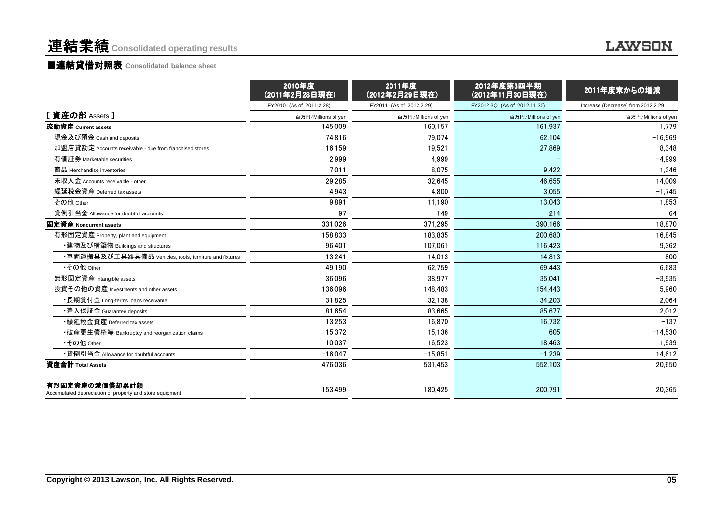# 連結業績 **Consolidated operating results**

**LAWSON** 

#### ■連結貸借対照表 **Consolidated balance sheet**

|                                                                            | 2010年度<br>(2011年2月28日現在) | 2011年度<br>(2012年2月29日現在) | 2012年度第3四半期<br>(2012年11月30日現在) | 2011年度末からの増減                       |
|----------------------------------------------------------------------------|--------------------------|--------------------------|--------------------------------|------------------------------------|
|                                                                            | FY2010 (As of 2011.2.28) | FY2011 (As of 2012.2.29) | FY2012 3Q (As of 2012.11.30)   | Increase (Decrease) from 2012.2.29 |
| [資産の部 Assets ]                                                             | 百万円/Millions of yen      | 百万円/Millions of yen      | 百万円/Millions of yen            | 百万円/Millions of yen                |
| 流動資産 Current assets                                                        | 145.009                  | 160.157                  | 161.937                        | 1.779                              |
| 現金及び預金 Cash and deposits                                                   | 74.816                   | 79.074                   | 62.104                         | $-16.969$                          |
| 加盟店貸勘定 Accounts receivable - due from franchised stores                    | 16,159                   | 19,521                   | 27,869                         | 8,348                              |
| 有価証券 Marketable securities                                                 | 2,999                    | 4.999                    |                                | $-4,999$                           |
| 商品 Merchandise inventories                                                 | 7,011                    | 8.075                    | 9.422                          | 1,346                              |
| 未収入金 Accounts receivable - other                                           | 29,285                   | 32,645                   | 46.655                         | 14,009                             |
| 繰延税金資産 Deferred tax assets                                                 | 4.943                    | 4,800                    | 3.055                          | $-1,745$                           |
| その他 Other                                                                  | 9,891                    | 11,190                   | 13.043                         | 1,853                              |
| 貸倒引当金 Allowance for doubtful accounts                                      | $-97$                    | $-149$                   | $-214$                         | $-64$                              |
| 固定資産 Noncurrent assets                                                     | 331.026                  | 371,295                  | 390.166                        | 18,870                             |
| 有形固定資産 Property, plant and equipment                                       | 158,833                  | 183,835                  | 200,680                        | 16,845                             |
| ・建物及び構築物 Buildings and structures                                          | 96.401                   | 107,061                  | 116,423                        | 9,362                              |
| ・車両運搬具及び工具器具備品 Vehicles, tools, furniture and fixtures                     | 13,241                   | 14,013                   | 14.813                         | 800                                |
| •その他 Other                                                                 | 49.190                   | 62,759                   | 69.443                         | 6,683                              |
| 無形固定資産 Intangible assets                                                   | 36.096                   | 38.977                   | 35,041                         | $-3,935$                           |
| 投資その他の資産 Investments and other assets                                      | 136.096                  | 148.483                  | 154.443                        | 5.960                              |
| ・長期貸付金 Long-terms loans receivable                                         | 31.825                   | 32.138                   | 34.203                         | 2.064                              |
| •差入保証金 Guarantee deposits                                                  | 81.654                   | 83,665                   | 85.677                         | 2,012                              |
| •繰延税金資産 Deferred tax assets                                                | 13.253                   | 16.870                   | 16.732                         | $-137$                             |
| •破産更生債権等 Bankruptcy and reorganization claims                              | 15,372                   | 15,136                   | 605                            | $-14,530$                          |
| •その他 Other                                                                 | 10.037                   | 16,523                   | 18.463                         | 1,939                              |
| •貸倒引当金 Allowance for doubtful accounts                                     | $-16.047$                | $-15,851$                | $-1,239$                       | 14,612                             |
| 資産合計 Total Assets                                                          | 476.036                  | 531,453                  | 552.103                        | 20.650                             |
| 有形固定資産の減価償却累計額<br>Accumulated depreciation of property and store equipment | 153.499                  | 180,425                  | 200.791                        | 20,365                             |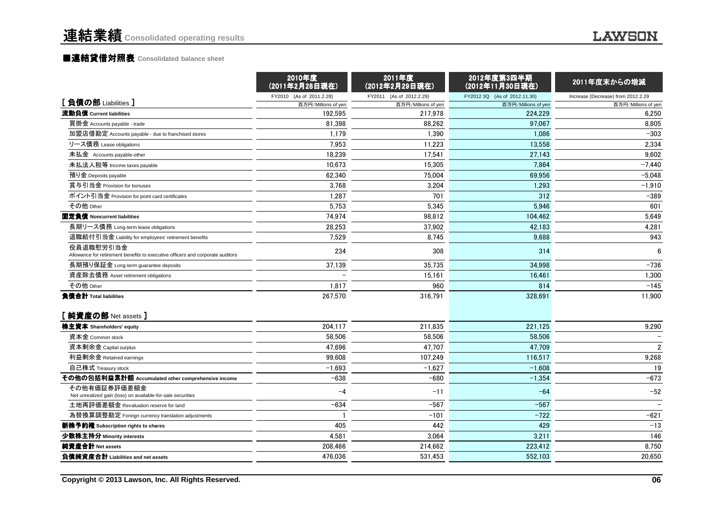#### ■<mark>連結貸借対照表 Consolidated balance sheet</mark>

|                                                                                             | 2010年度<br>(2011年2月28日現在) | 2011年度<br>(2012年2月29日現在) | 2012年度第3四半期<br>(2012年11月30日現在) | 2011年度末からの増減                       |
|---------------------------------------------------------------------------------------------|--------------------------|--------------------------|--------------------------------|------------------------------------|
| [負債の部 Liabilities]                                                                          | FY2010 (As of 2011.2.28) | FY2011 (As of 2012.2.29) | FY2012 3Q (As of 2012.11.30)   | Increase (Decrease) from 2012.2.29 |
|                                                                                             | 百万円/Millions of yen      | 百万円/Millions of yen      | 百万円/Millions of yen            | 百万円/Millions of yen                |
| 流動負債 Current liabilities                                                                    | 192.595                  | 217,978                  | 224.229                        | 6,250                              |
| 買掛金 Accounts payable - trade                                                                | 81,398                   | 88,262                   | 97,067                         | 8,805                              |
| 加盟店借勘定 Accounts payable - due to franchised stores                                          | 1,179                    | 1,390                    | 1,086                          | $-303$                             |
| リース債務 Lease obligations                                                                     | 7.953                    | 11.223                   | 13,558                         | 2,334                              |
| 未払金 Accounts payable-other                                                                  | 18,239                   | 17,541                   | 27,143                         | 9,602                              |
| 未払法人税等 Income taxes payable                                                                 | 10,673                   | 15,305                   | 7,864                          | $-7,440$                           |
| 預り金 Deposits payable                                                                        | 62.340                   | 75,004                   | 69.956                         | $-5,048$                           |
| 賞与引当金 Provision for bonuses                                                                 | 3.768                    | 3,204                    | 1,293                          | $-1,910$                           |
| ポイント引当金 Provision for point card certificates                                               | 1,287                    | 701                      | 312                            | $-389$                             |
| その他 Other                                                                                   | 5.753                    | 5.345                    | 5.946                          | 601                                |
| 固定負債 Noncurrent liabilities                                                                 | 74,974                   | 98,812                   | 104,462                        | 5,649                              |
| 長期リース債務 Long-term lease obligations                                                         | 28,253                   | 37,902                   | 42,183                         | 4,281                              |
| 退職給付引当金 Liability for employees' retirement benefits                                        | 7.529                    | 8,745                    | 9.688                          | 943                                |
| 役員退職慰労引当金<br>Allowance for retirement benefits to executive officers and corporate auditors | 234                      | 308                      | 314                            | 6                                  |
| 長期預り保証金 Long-term guarantee deposits                                                        | 37,139                   | 35,735                   | 34,998                         | $-736$                             |
| 資産除去債務 Asset retirement obligations                                                         |                          | 15,161                   | 16,461                         | 1,300                              |
| その他 Other                                                                                   | 1,817                    | 960                      | 814                            | $-145$                             |
| 負債合計 Total liabilities                                                                      | 267,570                  | 316,791                  | 328,691                        | 11,900                             |
| [純資産の部 Net assets]                                                                          |                          |                          |                                |                                    |
| 株主資本 Shareholders' equity                                                                   | 204,117                  | 211,835                  | 221.125                        | 9,290                              |
| 資本金 Common stock                                                                            | 58.506                   | 58.506                   | 58.506                         |                                    |
| 資本剰余金 Capital surplus                                                                       | 47.696                   | 47.707                   | 47.709                         | $\overline{2}$                     |
| 利益剰余金 Retained earnings                                                                     | 99,608                   | 107,249                  | 116,517                        | 9,268                              |
| 自己株式 Treasury stock                                                                         | $-1,693$                 | $-1,627$                 | $-1.608$                       | 19                                 |
| その他の包括利益累計額 Accumulated other comprehensive income                                          | $-638$                   | $-680$                   | $-1,354$                       | $-673$                             |
| その他有価証券評価差額金<br>Net unrealized gain (loss) on available-for-sale securities                 | $-4$                     | $-11$                    | $-64$                          | $-52$                              |
| 土地再評価差額金 Revaluation reserve for land                                                       | $-634$                   | $-567$                   | $-567$                         |                                    |
| 為替換算調整勘定 Foreign currency translation adjustments                                           |                          | $-101$                   | $-722$                         | $-621$                             |
| 新株予約権 Subscription rights to shares                                                         | 405                      | 442                      | 429                            | $-13$                              |
| 少数株主持分 Minority interests                                                                   | 4,581                    | 3,064                    | 3,211                          | 146                                |
| 純資産合計 Net assets                                                                            | 208,466                  | 214,662                  | 223,412                        | 8,750                              |
| 負債純資産合計 Liabilities and net assets                                                          | 476.036                  | 531,453                  | 552,103                        | 20,650                             |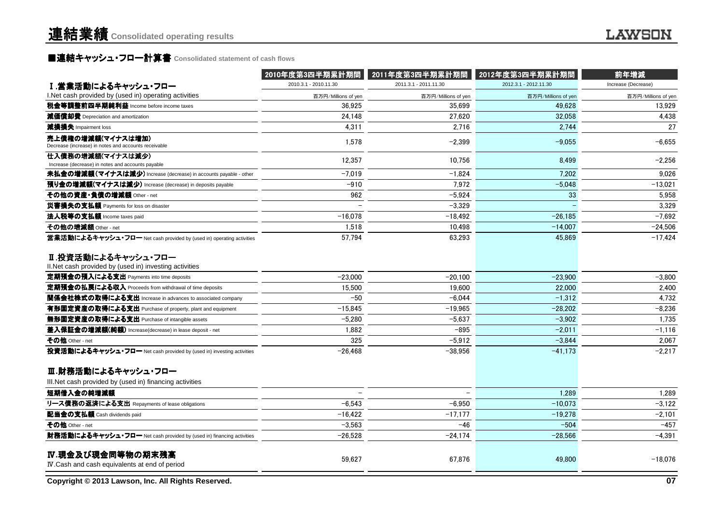### ■連結キャッシュ・フロー計算書 **Consolidated statement of cash flows**

|                                                                               | 2010年度第3四半期累計期間       | 2011年度第3四半期累計期間       | 2012年度第3四半期累計期間       | 前年増減                |
|-------------------------------------------------------------------------------|-----------------------|-----------------------|-----------------------|---------------------|
| Ⅰ.営業活動によるキャッシュ・フロー                                                            | 2010.3.1 - 2010.11.30 | 2011.3.1 - 2011.11.30 | 2012.3.1 - 2012.11.30 | Increase (Decrease) |
| I.Net cash provided by (used in) operating activities                         | 百万円/Millions of yen   | 百万円/Millions of yen   | 百万円/Millions of yer   | 百万円/Millions of yen |
| 税金等調整前四半期純利益 Income before income taxes                                       | 36.925                | 35.699                | 49.628                | 13,929              |
| 減価償却費 Depreciation and amortization                                           | 24.148                | 27.620                | 32.058                | 4,438               |
| 減損損失 Impairment loss                                                          | 4,311                 | 2,716                 | 2.744                 | 27                  |
| 売上債権の増減額(マイナスは増加)<br>Decrease (increase) in notes and accounts receivable     | 1,578                 | $-2.399$              | $-9.055$              | $-6.655$            |
| 仕入債務の増減額(マイナスは減少)<br>Increase (decrease) in notes and accounts payable        | 12,357                | 10,756                | 8,499                 | $-2,256$            |
| 未払金の増減額(マイナスは減少) Increase (decrease) in accounts payable - other              | $-7,019$              | $-1,824$              | 7.202                 | 9,026               |
| 預り金の増減額(マイナスは減少) Increase (decrease) in deposits payable                      | $-910$                | 7.972                 | $-5.048$              | $-13.021$           |
| その他の資産·負債の増減額 Other - net                                                     | 962                   | $-5,924$              | 33                    | 5,958               |
| 災害損失の支払額 Payments for loss on disaster                                        |                       | $-3,329$              |                       | 3,329               |
| 法人税等の支払額 Income taxes paid                                                    | $-16.078$             | $-18.492$             | $-26.185$             | $-7.692$            |
| その他の増減額 Other - net                                                           | 1,518                 | 10.498                | $-14.007$             | $-24.506$           |
| 営業活動によるキャッシュ・フロー Net cash provided by (used in) operating activities          | 57,794                | 63,293                | 45,869                | $-17,424$           |
| Ⅱ.投資活動によるキャッシュ・フロー<br>II. Net cash provided by (used in) investing activities |                       |                       |                       |                     |
| 定期預金の預入による支出 Payments into time deposits                                      | $-23,000$             | $-20,100$             | $-23.900$             | $-3,800$            |
| 定期預金の払戻による収入 Proceeds from withdrawal of time deposits                        | 15,500                | 19,600                | 22,000                | 2,400               |
| 関係会社株式の取得による支出 Increase in advances to associated company                     | $-50$                 | $-6,044$              | $-1,312$              | 4,732               |
| 有形固定資産の取得による支出 Purchase of property, plant and equipment                      | $-15,845$             | $-19,965$             | $-28,202$             | $-8,236$            |
| 無形固定資産の取得による支出 Purchase of intangible assets                                  | $-5.280$              | $-5.637$              | $-3.902$              | 1,735               |
| 差入保証金の増減額(純額) Increase(decrease) in lease deposit - net                       | 1,882                 | $-895$                | $-2.011$              | $-1,116$            |
| その他 Other - net                                                               | 325                   | $-5,912$              | $-3,844$              | 2,067               |
| 投資活動によるキャッシュ・フロー Net cash provided by (used in) investing activities          | $-26,468$             | $-38,956$             | $-41,173$             | $-2,217$            |
| Ⅲ.財務活動によるキャッシュ・フロー                                                            |                       |                       |                       |                     |
| III. Net cash provided by (used in) financing activities                      |                       |                       |                       |                     |
| 短期借入金の純増減額                                                                    |                       |                       | 1.289                 | 1,289               |
| リース債務の返済による支出 Repayments of lease obligations                                 | $-6.543$              | $-6.950$              | $-10.073$             | $-3,122$            |
| 配当金の支払額 Cash dividends paid                                                   | $-16,422$             | $-17,177$             | $-19.278$             | $-2,101$            |
| その他 Other - net                                                               | $-3,563$              | $-46$                 | $-504$                | $-457$              |
| 財務活動によるキャッシュ・フロー Net cash provided by (used in) financing activities          | $-26,528$             | $-24,174$             | $-28,566$             | $-4,391$            |
| IV.現金及び現金同等物の期末残高<br>IV Cash and cash equivalents at end of period            | 59,627                | 67,876                | 49,800                | $-18,076$           |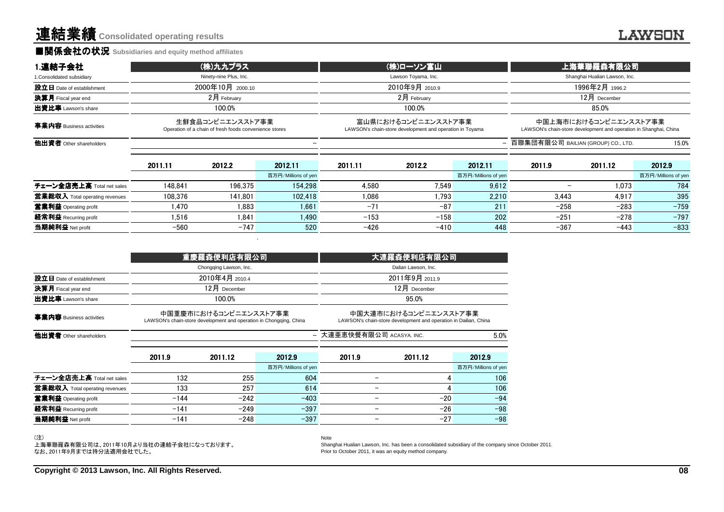#### **■関係会社の状況 Subsidiaries and equity method affiliates**

| 1.連結子会社                                                                                                | (株)九九プラス |                                                                                 | (株)ローソン富山           |                     |                                                                                            | 上海華聯羅森有限公司          |                                    |                |                     |
|--------------------------------------------------------------------------------------------------------|----------|---------------------------------------------------------------------------------|---------------------|---------------------|--------------------------------------------------------------------------------------------|---------------------|------------------------------------|----------------|---------------------|
| 1. Consolidated subsidiary                                                                             |          | Ninety-nine Plus, Inc.                                                          |                     | Lawson Toyama, Inc. |                                                                                            |                     | Shanghai Hualian Lawson, Inc.      |                |                     |
| 設立日 Date of establishment                                                                              |          | 2000年10月 2000.10                                                                |                     | 2010年9月 2010.9      |                                                                                            |                     | 1996年2月 1996.2                     |                |                     |
| 決算月 Fiscal year end                                                                                    |          | $2$ 月 February                                                                  |                     |                     | $2$ 月 February                                                                             |                     |                                    | $12月$ December |                     |
| 出資比率 Lawson's share                                                                                    | 100.0%   |                                                                                 | 100.0%              |                     |                                                                                            | 85.0%               |                                    |                |                     |
| 生鮮食品コンビニエンスストア事業<br>事業内容 Business activities<br>Operation of a chain of fresh foods convenience stores |          | 富山県におけるコンビニエンスストア事業<br>LAWSON's chain-store development and operation in Toyama |                     |                     | 中国上海市におけるコンビニエンスストア事業<br>LAWSON's chain-store development and operation in Shanghai, China |                     |                                    |                |                     |
| 他出資者 Other shareholders                                                                                |          |                                                                                 |                     |                     |                                                                                            | $-$                 | 百聯集団有限公司 BAILIAN (GROUP) CO., LTD. |                | 15.0%               |
|                                                                                                        | 2011.11  | 2012.2                                                                          | 2012.11             | 2011.11             | 2012.2                                                                                     | 2012.11             | 2011.9                             | 2011.12        | 2012.9              |
|                                                                                                        |          |                                                                                 | 百万円/Millions of yen |                     |                                                                                            | 百万円/Millions of yen |                                    |                | 百万円/Millions of yen |
| チェーン全店売上高 Total net sales                                                                              | 148.841  | 196.375                                                                         | 154.298             | 4.580               | 7.549                                                                                      | 9.612               |                                    | 1.073          | 784                 |
| 営業総収入 Total operating revenues                                                                         | 108.376  | 141.801                                                                         | 102.418             | 1.086               | 1.793                                                                                      | 2.210               | 3.443                              | 4.917          | 395                 |
| 営業利益 Operating profit                                                                                  | 1.470    | 1.883                                                                           | 1.661               | $-71$               | $-87$                                                                                      | 211                 | $-258$                             | $-283$         | $-759$              |
| 経常利益 Recurring profit                                                                                  | 1.516    | 1.841                                                                           | 1.490               | $-153$              | $-158$                                                                                     | 202                 | $-251$                             | $-278$         | $-797$              |
| 当期純利益 Net profit                                                                                       | $-560$   | $-747$                                                                          | 520                 | $-426$              | $-410$                                                                                     | 448                 | $-367$                             | -443           | $-833$              |

|                            | 重慶羅森便利店有限公司            | 大連羅森便利店有限公司 <sup> </sup> |
|----------------------------|------------------------|--------------------------|
|                            | Chongging Lawson, Inc. | Dalian Lawson, Inc.      |
| 設立日 Date of establishment  | 2010年4月 2010.4         | 2011年9月 2011.9           |
| <b>決算月</b> Fiscal year end | $12$ 月 December        | $12$ 月 December          |
| <b>出資比率</b> Lawson's share | 100.0%                 | 95.0%                    |
|                            | 中国重慶市におけるコンビニエンスストア事業  | 中国大連市におけるコンビニエンスストア事業    |

事業内容 Business activitiesLAWSON's chain-store development and operation in Chongqing, China

中国大連市におけるコンビニエンスストア事業LAWSON's chain-store development and operation in Dailian, China

5.0% 大連亜恵快餐有限公司 ACASYA. INC.

他出資者 Other shareholders $\sim$  -  $\sim$  -  $\sim$  -  $\sim$  -  $\sim$  -  $\sim$  -  $\sim$  -  $\sim$  -  $\sim$  -  $\sim$  -  $\sim$  -  $\sim$  -  $\sim$  -  $\sim$  -  $\sim$  -  $\sim$  -  $\sim$  -  $\sim$  -  $\sim$  -  $\sim$  -  $\sim$  -  $\sim$  -  $\sim$  -  $\sim$  -  $\sim$  -  $\sim$  -  $\sim$  -  $\sim$  -  $\sim$  -  $\sim$  -  $\sim$  -  $\sim$ 

2011.9 $\begin{array}{|l|c|c|c|c|}\hline 9 & 2011.12 & 2012.9 & 2011.9 & 2011.12 & 2012.9 \ \hline \end{array}$ 百万円/Millions of yen 百万円/Millions of yen チェーン全店売上高 Total net sales チェーン全店売上高 Total net sales 132 255 604 106<br>学学学院1 Tatal sesseties exuality 122 257 614 106 営業総収入 Total operating revenues  $\frac{\text{S}}{\text{S}}$  133 257 614 - 4 106 **営業利益 Operating profit**  -144 -242 -403 - -20 -94 **経常利益** Recurring profit  $\frac{141}{249}$  -249 -397 - - -26 -98<br>-141 - -249 - -397 - - - - - -26 - -98 当期純利益 Net profit-141 -248 -397 - -27 -98

Note

(注)

 上海華聯羅森有限公司は、2011年10月より当社の連結子会社になっております。なお、2011年9月までは持分法適用会社でした。

 Shanghai Hualian Lawson, Inc. has been a consolidated subsidiary of the company since October 2011.Prior to October 2011, it was an equity method company.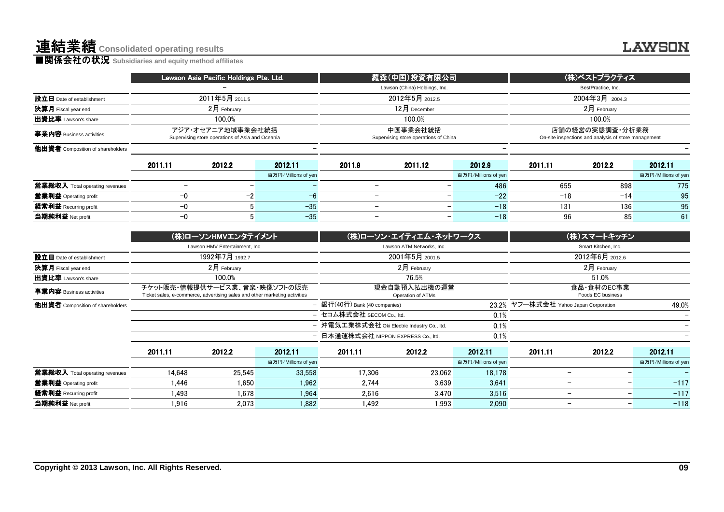|                                  |                          | Lawson Asia Pacific Holdings Pte. Ltd.                                |                     |                          | 羅森(中国)投資有限公司                                      |                     |                                                                         | (株)ベストプラクティス        |                     |  |
|----------------------------------|--------------------------|-----------------------------------------------------------------------|---------------------|--------------------------|---------------------------------------------------|---------------------|-------------------------------------------------------------------------|---------------------|---------------------|--|
|                                  |                          |                                                                       |                     |                          | Lawson (China) Holdings, Inc.                     |                     |                                                                         | BestPractice, Inc.  |                     |  |
| 設立日 Date of establishment        |                          | 2011年5月 2011.5                                                        |                     |                          | 2012年5月 2012.5                                    |                     | 2004年3月 2004.3                                                          |                     |                     |  |
| 決算月 Fiscal year end              |                          | 2月 February                                                           |                     |                          | $12月$ December                                    |                     | $2月$ February                                                           |                     |                     |  |
| 出資比率 Lawson's share              | 100.0%                   |                                                                       |                     |                          | 100.0%                                            |                     |                                                                         | 100.0%              |                     |  |
| 事業内容 Business activities         |                          | アジア・オセアニア地域事業会社統括<br>Supervising store operations of Asia and Oceania |                     |                          | 中国事業会社統括<br>Supervising store operations of China |                     | 店舗の経営の実態調査・分析業務<br>On-site inspections and analysis of store management |                     |                     |  |
| 他出資者 Composition of shareholders |                          |                                                                       |                     |                          |                                                   |                     |                                                                         |                     |                     |  |
|                                  | 2011.11                  | 2012.2                                                                | 2012.11             | 2011.9                   | 2011.12                                           | 2012.9              | 2011.11                                                                 | 2012.2              | 2012.11             |  |
|                                  |                          |                                                                       | 百万円/Millions of yen |                          |                                                   | 百万円/Millions of yen |                                                                         |                     | 百万円/Millions of yen |  |
| 営業総収入 Total operating revenues   | $\overline{\phantom{0}}$ |                                                                       |                     |                          |                                                   | 486                 | 655                                                                     | 898                 | 775                 |  |
| 営業利益 Operating profit            | $-0$                     | $-2$                                                                  | $-6$                |                          |                                                   | $-22$               | $-18$                                                                   | $-14$               | 95                  |  |
| 経常利益 Recurring profit            | $-0$                     | 5                                                                     | $-35$               | $\overline{\phantom{a}}$ | $\overline{\phantom{a}}$                          | $-18$               | 131                                                                     | 136                 | 95                  |  |
| 当期純利益 Net profit                 | $-0$                     | 5                                                                     | $-35$               |                          | $\overline{\phantom{m}}$                          | $-18$               | 96                                                                      | 85                  | 61                  |  |
|                                  |                          | (株)ローソンHMVエンタテイメント                                                    |                     |                          | (株)ローソン・エイティエム・ネットワークス                            |                     |                                                                         | (株)スマートキッチン         |                     |  |
|                                  |                          | Lawson HMV Entertainment, Inc.                                        |                     |                          | Lawson ATM Networks, Inc.                         |                     |                                                                         | Smart Kitchen, Inc. |                     |  |
| 設立日 Date of establishment        |                          | 1992年7月 1992.7                                                        |                     |                          | 2001年5月 2001.5                                    |                     |                                                                         | 2012年6月 2012.6      |                     |  |
| 決算月 Fiscal year end              |                          | 2月 February                                                           |                     |                          | 2月 February                                       |                     |                                                                         | 2月 February         |                     |  |
| 出資比率 Lawson's share              |                          | 100.0%                                                                |                     |                          | 76.5%                                             |                     | 51.0%                                                                   |                     |                     |  |

|                                  |         | (株)ローソンHMVエンタテイメント                                                                                         |                     |                                                     | (株)ローソン・エイティエム・ネットワークス            | (株)スマートキッチン         |                                       |                                 |                          |  |
|----------------------------------|---------|------------------------------------------------------------------------------------------------------------|---------------------|-----------------------------------------------------|-----------------------------------|---------------------|---------------------------------------|---------------------------------|--------------------------|--|
|                                  |         | Lawson HMV Entertainment, Inc.                                                                             |                     |                                                     | Lawson ATM Networks, Inc.         |                     |                                       | Smart Kitchen, Inc.             |                          |  |
| 設立日 Date of establishment        |         | 1992年7月 1992.7                                                                                             |                     |                                                     | 2001年5月 2001.5                    |                     | 2012年6月 2012.6                        |                                 |                          |  |
| 決算月 Fiscal year end              |         | $2$ 月 February                                                                                             |                     |                                                     | $2$ 月 February                    |                     | 2月 February                           |                                 |                          |  |
| 出資比率 Lawson's share              |         | 100.0%                                                                                                     |                     |                                                     | 76.5%                             |                     | 51.0%                                 |                                 |                          |  |
| 事業内容 Business activities         |         | チケット販売・情報提供サービス業、音楽・映像ソフトの販売<br>Ticket sales, e-commerce, advertising sales and other marketing activities |                     |                                                     | 現金自動預入払出機の運営<br>Operation of ATMs |                     |                                       | 食品・食材のEC事業<br>Foods EC business |                          |  |
| 他出資者 Composition of shareholders |         |                                                                                                            |                     | - 銀行(40行) Bank (40 companies)                       |                                   |                     | 23.2% ヤフー株式会社 Yahoo Japan Corporation |                                 | 49.0%                    |  |
|                                  |         |                                                                                                            |                     | - セコム株式会社 SECOM Co., ltd.                           |                                   | 0.1%                |                                       |                                 |                          |  |
|                                  |         |                                                                                                            |                     | - 沖電気工業株式会社 Oki Electric Industry Co., ltd.<br>0.1% |                                   |                     |                                       |                                 | $\overline{\phantom{0}}$ |  |
|                                  |         |                                                                                                            |                     | - 日本通運株式会社 NIPPON EXPRESS Co., ltd.                 |                                   | 0.1%                |                                       |                                 |                          |  |
|                                  | 2011.11 | 2012.2                                                                                                     | 2012.11             | 2011.11                                             | 2012.2                            | 2012.11             | 2011.11                               | 2012.2                          | 2012.11                  |  |
|                                  |         |                                                                                                            | 百万円/Millions of yen |                                                     |                                   | 百万円/Millions of yen |                                       |                                 | 百万円/Millions of yen      |  |
| 営業総収入 Total operating revenues   | 14.648  | 25.545                                                                                                     | 33.558              | 17.306                                              | 23.062                            | 18.178              |                                       | -                               |                          |  |
| 営業利益 Operating profit            | 1.446   | 1.650                                                                                                      | 1.962               | 2.744                                               | 3.639                             | 3.641               |                                       | -                               | $-117$                   |  |
| 経常利益 Recurring profit            | 1.493   | 1,678                                                                                                      | 1.964               | 2.616                                               | 3.470                             | 3.516               |                                       | -<br>$\qquad \qquad$            | $-117$                   |  |
| 当期純利益 Net profit                 | 1.916   | 2.073                                                                                                      | 1.882               | 1.492                                               | 1.993                             | 2.090               |                                       | -<br>$\overline{\phantom{m}}$   | $-118$                   |  |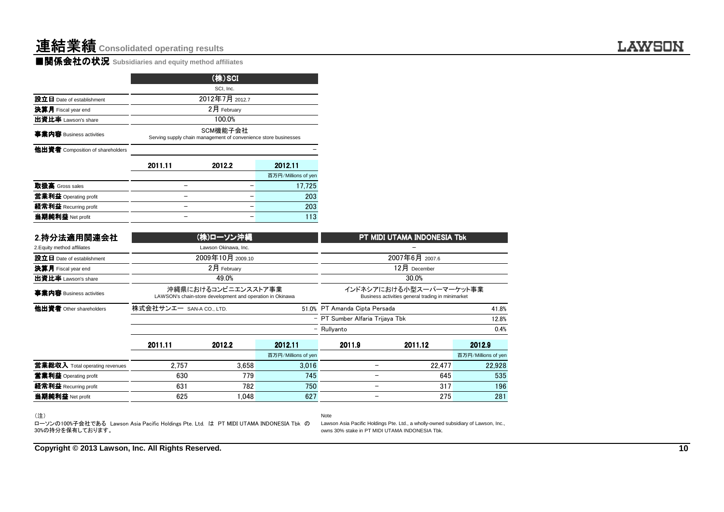|                                  |                                                                             | (株)SCI         |                     |  |  |  |  |  |
|----------------------------------|-----------------------------------------------------------------------------|----------------|---------------------|--|--|--|--|--|
|                                  |                                                                             | SCI, Inc.      |                     |  |  |  |  |  |
| 設立日 Date of establishment        |                                                                             | 2012年7月 2012.7 |                     |  |  |  |  |  |
| 決算月 Fiscal year end              |                                                                             | 2月 February    |                     |  |  |  |  |  |
| 出資比率 Lawson's share              |                                                                             | 100.0%         |                     |  |  |  |  |  |
| 事業内容 Business activities         | SCM機能子会社<br>Serving supply chain management of convenience store businesses |                |                     |  |  |  |  |  |
| 他出資者 Composition of shareholders |                                                                             |                |                     |  |  |  |  |  |
|                                  | 2011.11                                                                     | 2012.2         | 2012.11             |  |  |  |  |  |
|                                  |                                                                             |                | 百万円/Millions of yen |  |  |  |  |  |
| 取扱高 Gross sales                  |                                                                             |                | 17,725              |  |  |  |  |  |
| 営業利益 Operating profit            |                                                                             |                | 203                 |  |  |  |  |  |
| 経常利益 Recurring profit            |                                                                             |                | 203                 |  |  |  |  |  |
| 当期純利益 Net profit                 |                                                                             |                | 113                 |  |  |  |  |  |

| 2.持分法適用関連会社                                                                                                       |                          | (株)ローソン沖縄                                                                        |                                | PT MIDI UTAMA INDONESIA Tbk                                                  |                                                                                    |                               |  |  |
|-------------------------------------------------------------------------------------------------------------------|--------------------------|----------------------------------------------------------------------------------|--------------------------------|------------------------------------------------------------------------------|------------------------------------------------------------------------------------|-------------------------------|--|--|
| 2. Equity method affiliates                                                                                       |                          | Lawson Okinawa, Inc.                                                             |                                |                                                                              |                                                                                    |                               |  |  |
| 設立日 Date of establishment                                                                                         |                          | 2009年10月 2009.10                                                                 |                                | 2007年6月 2007.6                                                               |                                                                                    |                               |  |  |
| 決算月 Fiscal year end                                                                                               |                          | 2月 February                                                                      |                                |                                                                              | 12月 December                                                                       |                               |  |  |
| 出資比率 Lawson's share                                                                                               |                          | 49.0%                                                                            |                                |                                                                              | 30.0%                                                                              |                               |  |  |
| 事業内容 Business activities                                                                                          |                          | 沖縄県におけるコンビニエンスストア事業<br>LAWSON's chain-store development and operation in Okinawa |                                | インドネシアにおける小型スーパーマーケット事業<br>Business activities general trading in minimarket |                                                                                    |                               |  |  |
| 他出資者 Other shareholders                                                                                           | 株式会社サンエー SAN-A CO., LTD. |                                                                                  |                                | 51.0% PT Amanda Cipta Persada                                                |                                                                                    | 41.8%                         |  |  |
|                                                                                                                   |                          |                                                                                  |                                | - PT Sumber Alfaria Trijaya Tbk                                              |                                                                                    |                               |  |  |
|                                                                                                                   |                          |                                                                                  | - Rullyanto                    |                                                                              | 0.4%                                                                               |                               |  |  |
|                                                                                                                   | 2011.11<br>2012.2        |                                                                                  | 2012.11<br>百万円/Millions of yen | 2011.9                                                                       | 2011.12                                                                            | 2012.9<br>百万円/Millions of yen |  |  |
| 當業総収入 Total operating revenues                                                                                    | 2.757                    | 3.658                                                                            | 3,016                          |                                                                              | 22.477                                                                             | 22,928                        |  |  |
| <b>営業利益</b> Operating profit                                                                                      | 630                      | 779                                                                              | 745                            |                                                                              | 645                                                                                | 535                           |  |  |
| 経常利益 Recurring profit                                                                                             | 631                      | 782                                                                              | 750                            | $\qquad \qquad -$                                                            | 317                                                                                | 196                           |  |  |
| 当期純利益 Net profit                                                                                                  | 625                      | 1.048                                                                            | 627                            | $\overline{\phantom{m}}$                                                     | 275                                                                                | 281                           |  |  |
| (注)<br>ローソンの100%子会社である Lawson Asia Pacific Holdings Pte. Ltd. は PT MIDI UTAMA INDONESIA Tbk の<br>30%の持分を保有しております。 |                          |                                                                                  |                                | Note<br>owns 30% stake in PT MIDI UTAMA INDONESIA Tbk.                       | Lawson Asia Pacific Holdings Pte. Ltd., a wholly-owned subsidiary of Lawson, Inc., |                               |  |  |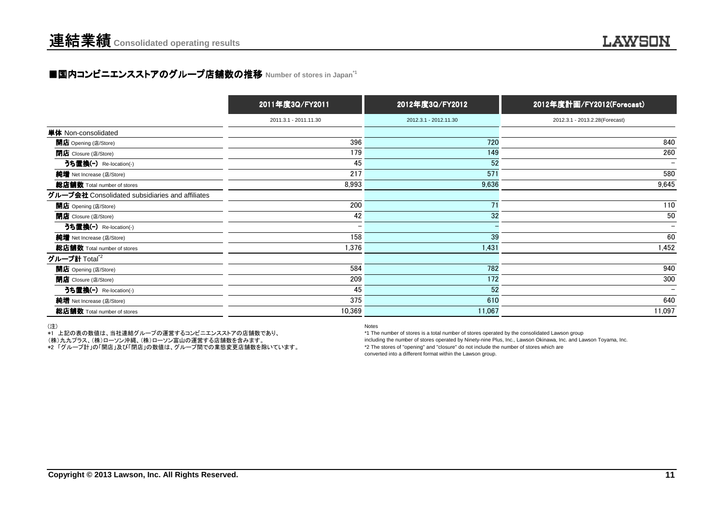## ■国内コンビニエンスストアのグループ店舗数の推移 Number of stores in Japan<sup>\*1</sup>

|                                                 | 2011年度3Q/FY2011       | 2012年度3Q/FY2012       | 2012年度計画/FY2012(Forecast)      |
|-------------------------------------------------|-----------------------|-----------------------|--------------------------------|
|                                                 | 2011.3.1 - 2011.11.30 | 2012.3.1 - 2012.11.30 | 2012.3.1 - 2013.2.28(Forecast) |
| 単体 Non-consolidated                             |                       |                       |                                |
| 開店 Opening (店/Store)                            | 396                   | 720                   | 840                            |
| <b>閉店</b> Closure (店/Store)                     | 179                   | 149                   | 260                            |
| うち置換(-) Re-location(-)                          | 45                    | 52                    | $\overline{\phantom{a}}$       |
| 純増 Net Increase (店/Store)                       | 217                   | 571                   | 580                            |
| 総店舗数 Total number of stores                     | 8,993                 | 9,636                 | 9,645                          |
| グループ会社 Consolidated subsidiaries and affiliates |                       |                       |                                |
| 開店 Opening (店/Store)                            | 200                   | 71                    | 110                            |
| <b>閉店</b> Closure (店/Store)                     | 42                    | 32                    | 50                             |
| うち置換(-) Re-location(-)                          |                       |                       | $\overline{\phantom{a}}$       |
| 純増 Net Increase (店/Store)                       | 158                   | 39                    | 60                             |
| 総店舗数 Total number of stores                     | 1,376                 | 1,431                 | 1,452                          |
| グループ計 Total $^2$                                |                       |                       |                                |
| 開店 Opening (店/Store)                            | 584                   | 782                   | 940                            |
| <b>閉店</b> Closure (店/Store)                     | 209                   | 172                   | 300                            |
| うち置換(-) Re-location(-)                          | 45                    | 52                    | $\qquad \qquad$                |
| 純増 Net Increase (店/Store)                       | 375                   | 610                   | 640                            |
| 総店舗数 Total number of stores                     | 10,369                | 11,067                | 11,097                         |

(注)

\*1 上記の表の数値は、当社連結グループの運営するコンビニエンスストアの店舗数であり、

(株)九九プラス、(株)ローソン沖縄、(株)ローソン富山の運営する店舗数を含みます。

\*2 「グループ計」の「開店」及び「閉店」の数値は、グループ間での業態変更店舗数を除いています。

Notes

 \*1 The number of stores is a total number of stores operated by the consolidated Lawson group including the number of stores operated by Ninety-nine Plus, Inc., Lawson Okinawa, Inc. and Lawson Toyama, Inc.\*2 The stores of "opening" and "closure" do not include the number of stores which areconverted into a different format within the Lawson group.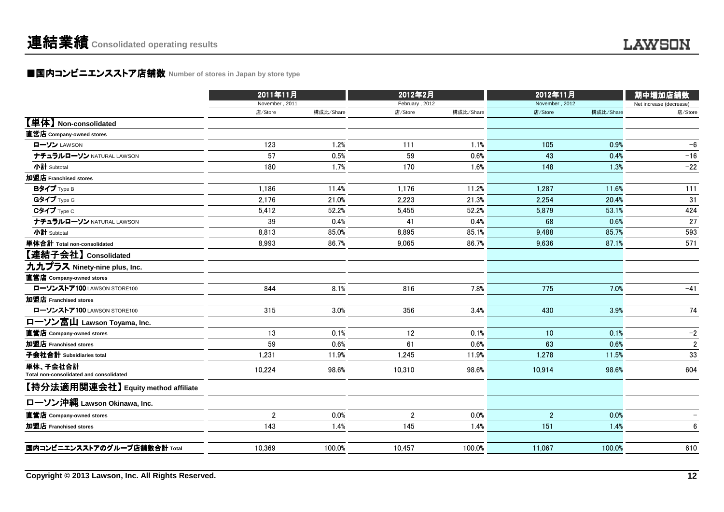### ■国内コンビニエンスストア店舗数 Number of stores in Japan by store type<br> **■国内コンビニエンスストア店舗数** Number of stores in Japan by store type

| 2011年11月         |              | 2012年2月                                      |                |                                     |                | 期中増加店舗数                                         |
|------------------|--------------|----------------------------------------------|----------------|-------------------------------------|----------------|-------------------------------------------------|
|                  |              |                                              |                |                                     |                | Net increase (decrease)                         |
| 店/Store          |              |                                              |                |                                     |                | 店/Store                                         |
|                  |              |                                              |                |                                     |                |                                                 |
|                  |              |                                              |                |                                     |                |                                                 |
|                  |              |                                              |                |                                     |                | $-6$                                            |
| 57               | 0.5%         | 59                                           | 0.6%           | 43                                  | 0.4%           | $-16$                                           |
| 180              | 1.7%         | 170                                          | 1.6%           | 148                                 | 1.3%           | $-22$                                           |
|                  |              |                                              |                |                                     |                |                                                 |
|                  |              | 1,176                                        | 11.2%          | 1,287                               | 11.6%          | 111                                             |
| 2,176            | 21.0%        | 2,223                                        | 21.3%          | 2,254                               | 20.4%          | 31                                              |
| 5,412            | 52.2%        | 5,455                                        | 52.2%          | 5.879                               | 53.1%          | 424                                             |
| 39               | 0.4%         | 41                                           | 0.4%           | 68                                  | 0.6%           | 27                                              |
| 8,813            | 85.0%        | 8,895                                        | 85.1%          | 9,488                               | 85.7%          | 593                                             |
| 8,993            | 86.7%        | 9,065                                        | 86.7%          | 9,636                               | 87.1%          | 571                                             |
|                  |              |                                              |                |                                     |                |                                                 |
|                  |              |                                              |                |                                     |                |                                                 |
|                  |              |                                              |                |                                     |                |                                                 |
| 844              | 8.1%         | 816                                          | 7.8%           | 775                                 | 7.0%           | $-41$                                           |
|                  |              |                                              |                |                                     |                |                                                 |
| 315              | 3.0%         | 356                                          | 3.4%           | 430                                 | 3.9%           | 74                                              |
|                  |              |                                              |                |                                     |                |                                                 |
| 13               | 0.1%         | 12                                           | 0.1%           | 10                                  | 0.1%           | $-2$                                            |
| 59               | 0.6%         | 61                                           | 0.6%           | 63                                  | 0.6%           | $\overline{2}$                                  |
| 1,231            | 11.9%        | 1,245                                        | 11.9%          | 1,278                               | 11.5%          | 33                                              |
| 10,224           | 98.6%        | 10,310                                       | 98.6%          | 10,914                              | 98.6%          | 604                                             |
|                  |              |                                              |                |                                     |                |                                                 |
|                  |              |                                              |                |                                     |                |                                                 |
| $\boldsymbol{2}$ | 0.0%         | $\mathbf 2$                                  | 0.0%           | $\sqrt{2}$                          | 0.0%           |                                                 |
| 143              | 1.4%         | 145                                          | 1.4%           | 151                                 | 1.4%           | 6                                               |
| 10,369           | 100.0%       | 10.457                                       | 100.0%         | 11.067                              | 100.0%         | 610                                             |
|                  | 123<br>1,186 | November, 2011<br>構成比/Share<br>1.2%<br>11.4% | 店/Store<br>111 | February, 2012<br>構成比/Share<br>1.1% | 店/Store<br>105 | 2012年11月<br>November, 2012<br>構成比/Share<br>0.9% |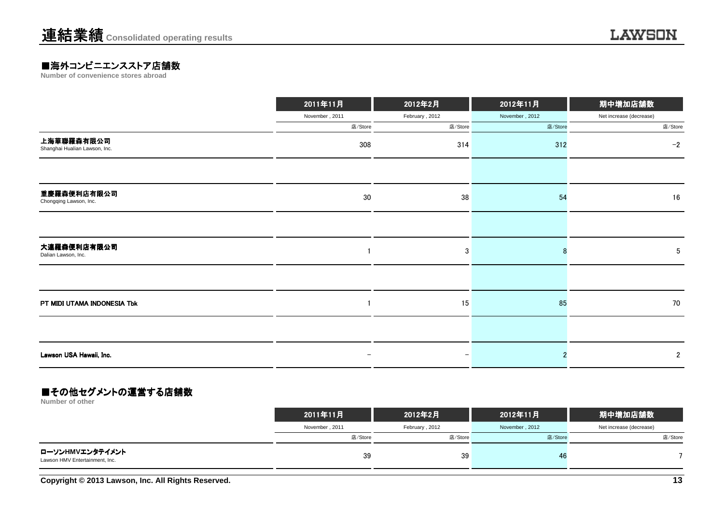# **■海外コンビニエンスストア店舗数**<br>Number of convenience stores abroad

|                                             | 2011年11月                 | 2012年2月           | 2012年11月       | 期中増加店舗数                 |
|---------------------------------------------|--------------------------|-------------------|----------------|-------------------------|
|                                             | November, 2011           | February, 2012    | November, 2012 | Net increase (decrease) |
|                                             | 店/Store                  | 店/Store           | 店/Store        | 店/Store                 |
| 上海華聯羅森有限公司<br>Shanghai Hualian Lawson, Inc. | 308                      | 314               | 312            | $-2$                    |
|                                             |                          |                   |                |                         |
| 重慶羅森便利店有限公司<br>Chongqing Lawson, Inc.       | $30\,$                   | 38                | 54             | 16                      |
|                                             |                          |                   |                |                         |
| 大連羅森便利店有限公司<br>Dalian Lawson, Inc.          |                          | 3                 |                | 5                       |
|                                             |                          |                   |                |                         |
| PT MIDI UTAMA INDONESIA Tbk                 |                          | 15                | 85             | 70                      |
|                                             |                          |                   |                |                         |
| Lawson USA Hawaii, Inc.                     | $\overline{\phantom{0}}$ | $\qquad \qquad -$ |                | $\overline{2}$          |

#### ■その他セグメントの運営する店舗数

**Number of other**

|                                                   | 2011年11月       | 2012年2月        | 2012年11月       | 期中増加店舗数                 |
|---------------------------------------------------|----------------|----------------|----------------|-------------------------|
|                                                   | November, 2011 | February, 2012 | November, 2012 | Net increase (decrease) |
|                                                   | 店/Store        | 店/Store        | 店/Store        | 店/Store                 |
| ローソンHMVエンタテイメント<br>Lawson HMV Entertainment, Inc. | 39             | 39             | 46             |                         |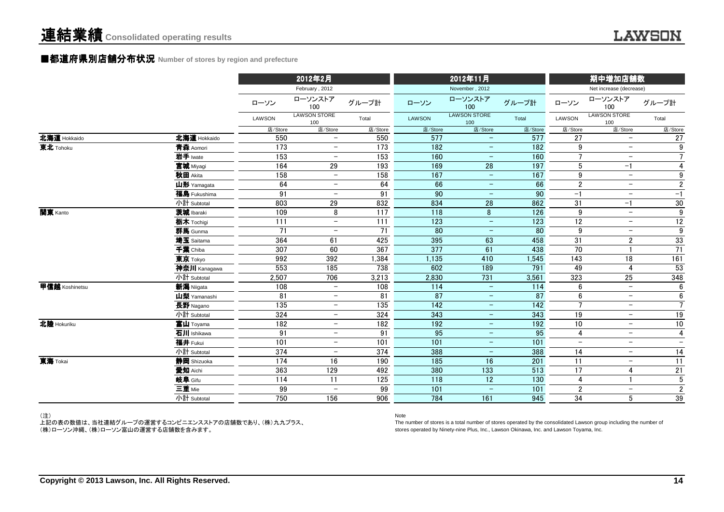#### **■都道府県別店舗分布状況** Number of stores by region and prefecture

|                |                         |               | 2012年2月                                              |                  |               | 2012年11月                                             |                   |                          | 期中増加店舗数                        |                                   |
|----------------|-------------------------|---------------|------------------------------------------------------|------------------|---------------|------------------------------------------------------|-------------------|--------------------------|--------------------------------|-----------------------------------|
|                |                         |               | February, 2012                                       |                  |               | November, 2012                                       |                   |                          | Net increase (decrease)        |                                   |
|                |                         | ローソン          | ローソンストア<br>100                                       | グループ計            | ローソン          | ローソンストア<br>100                                       | グループ計             | ローソン                     | ローソンストア<br>100                 | グループ計                             |
|                |                         | <b>LAWSON</b> | <b>LAWSON STORE</b><br>100                           | Total            | <b>LAWSON</b> | <b>LAWSON STORE</b><br>100                           | Total             | <b>LAWSON</b>            | <b>LAWSON STORE</b><br>100     | Total                             |
|                |                         | 店/Store       | 店/Store                                              | 店/Store          | 店/Store       | 店/Store                                              | 店/Store           | 店/Store                  | 店/Store                        | 店/Store                           |
| 北海道 Hokkaido   | 北海道 Hokkaido            | 550           | $\overline{\phantom{0}}$                             | 550              | 577           | $\overline{\phantom{a}}$                             | 577               | 27                       | $\overline{\phantom{m}}$       | 27                                |
| 東北 Tohoku      | 青森 Aomori               | 173           | $\overline{\phantom{0}}$                             | 173              | 182           | $\overline{\phantom{m}}$                             | 182               | 9                        | $-$                            | $\overline{9}$                    |
|                | 岩手 Iwate                | 153           | $\overline{\phantom{m}}$                             | $\overline{153}$ | 160           | $\qquad \qquad -$                                    | 160               | $\overline{7}$           | $\overline{\phantom{m}}$       | $\overline{7}$                    |
|                | 宮城 Miyagi               | 164           | $\overline{29}$                                      | 193              | 169           | $\overline{28}$                                      | 197               | $5\phantom{.0}$          | $-1$                           | $\overline{4}$                    |
|                | 秋田 Akita                | 158           | $\overline{\phantom{a}}$                             | 158              | 167           | $\overline{\phantom{a}}$                             | 167               | 9                        | $\overline{\phantom{m}}$       | $\boldsymbol{9}$                  |
|                | 山形 Yamagata             | 64            | $\overline{\phantom{m}}$                             | 64               | 66            | $\qquad \qquad -$                                    | 66                | $\boldsymbol{2}$         | $\overline{\phantom{m}}$       | $\sqrt{2}$                        |
|                | 福島 Fukushima            | 91            | $\overline{\phantom{m}}$                             | 91               | 90            | $\qquad \qquad -$                                    | 90                | $-1$                     | $\overline{\phantom{m}}$       | $-1$                              |
|                | 小計 Subtotal             | 803           | 29                                                   | 832              | 834           | 28                                                   | 862               | 31                       | $-1$                           | 30                                |
| 関東 Kanto       | 茨城 Ibaraki              | 109           | 8                                                    | 117              | 118           | 8                                                    | 126               | 9                        | $\overline{\phantom{m}}$       | $\overline{9}$                    |
|                | 栃木 Tochigi              | 111           | $-$                                                  | 111              | 123           | $\overline{\phantom{a}}$                             | 123               | 12                       | $\overline{\phantom{m}}$       | $\overline{12}$                   |
|                | 群馬 Gunma                | 71            | $\overline{\phantom{m}}$                             | 71               | 80            | $\overline{\phantom{m}}$                             | 80                | 9                        | $\overline{\phantom{m}}$       | 9                                 |
|                | 埼玉 Saitama              | 364           | 61                                                   | 425              | 395           | 63                                                   | 458               | 31                       | $\overline{2}$                 | 33                                |
|                | 千葉 Chiba                | 307           | 60                                                   | 367              | 377           | 61                                                   | 438               | 70                       |                                | $\overline{71}$                   |
|                | 東京 Tokyo                | 992           | 392                                                  | 1,384            | 1,135         | 410                                                  | 1,545             | 143                      | 18                             | 161                               |
|                | 神奈川 Kanagawa            | 553           | 185                                                  | 738              | 602           | 189                                                  | 791               | 49                       | $\overline{4}$                 | 53                                |
|                | 小計 Subtotal             | 2,507         | 706                                                  | 3,213            | 2,830         | 731                                                  | 3,561             | 323                      | 25<br>$\overline{\phantom{0}}$ | 348                               |
| 甲信越 Koshinetsu | 新潟 Niigata              | 108           | $\overline{\phantom{0}}$                             | 108              | 114           | $\equiv$                                             | $\frac{114}{114}$ | 6                        |                                | 6                                 |
|                | 山梨 Yamanashi            | 81            | $\overline{\phantom{m}}$                             | 81               | 87            | $\qquad \qquad -$                                    | 87                | 6<br>$\overline{7}$      | $\overline{\phantom{m}}$       | $6\phantom{.0}$                   |
|                | 長野 Nagano               | 135<br>324    | $\overline{\phantom{m}}$<br>$\overline{\phantom{0}}$ | 135              | 142<br>343    | $\qquad \qquad -$                                    | 142               | $\overline{19}$          | $-$<br>$-$                     | $\overline{7}$                    |
| 北陸 Hokuriku    | 小計 Subtotal             |               |                                                      | 324              |               | $\qquad \qquad -$                                    | 343               | $\overline{10}$          | $\overline{\phantom{m}}$       | $\overline{19}$                   |
|                | 富山 Toyama               | 182<br>91     | $\overline{\phantom{a}}$<br>$\overline{\phantom{m}}$ | 182<br>91        | 192<br>95     | $\overline{\phantom{a}}$<br>$\overline{\phantom{m}}$ | 192<br>95         | 4                        | $\overline{\phantom{m}}$       | $\overline{10}$<br>$\overline{4}$ |
|                | 石川 Ishikawa             | 101           | $\overline{\phantom{a}}$                             |                  |               | $\overline{\phantom{m}}$                             |                   | $\overline{\phantom{m}}$ | $\overline{\phantom{m}}$       | $\overline{\phantom{a}}$          |
|                | 福井 Fukui<br>小計 Subtotal | 374           | $\overline{\phantom{a}}$                             | 101<br>374       | 101<br>388    | $\overline{\phantom{m}}$                             | 101<br>388        |                          | $\overline{\phantom{m}}$       | 14                                |
| 東海 Tokai       |                         | 174           | 16                                                   | 190              | 185           | 16                                                   | 201               | 14<br>11                 | $\overline{\phantom{m}}$       | 11                                |
|                | 静岡 Shizuoka<br>愛知 Aichi | 363           | 129                                                  | 492              | 380           | 133                                                  | 513               | 17                       | 4                              | $21\,$                            |
|                | 岐阜 Gifu                 |               |                                                      |                  |               | 12                                                   |                   |                          | $\mathbf{1}$                   | $\sqrt{5}$                        |
|                | 三重 Mie                  | 114<br>99     | 11<br>$\overline{\phantom{0}}$                       | 125<br>99        | 118<br>101    | $\equiv$                                             | 130<br>101        | 4<br>$\overline{2}$      | $\overline{\phantom{m}}$       | $\overline{2}$                    |
|                | 小計 Subtotal             | 750           | 156                                                  | 906              | 784           | 161                                                  | 945               | 34                       | 5                              | $39\,$                            |
|                |                         |               |                                                      |                  |               |                                                      |                   |                          |                                |                                   |

(注)

 上記の表の数値は、当社連結グループの運営するコンビニエンスストアの店舗数であり、(株)九九プラス、(株)ローソン沖縄、(株)ローソン富山の運営する店舗数を含みます。

#### Note

 The number of stores is a total number of stores operated by the consolidated Lawson group including the number ofstores operated by Ninety-nine Plus, Inc., Lawson Okinawa, Inc. and Lawson Toyama, Inc.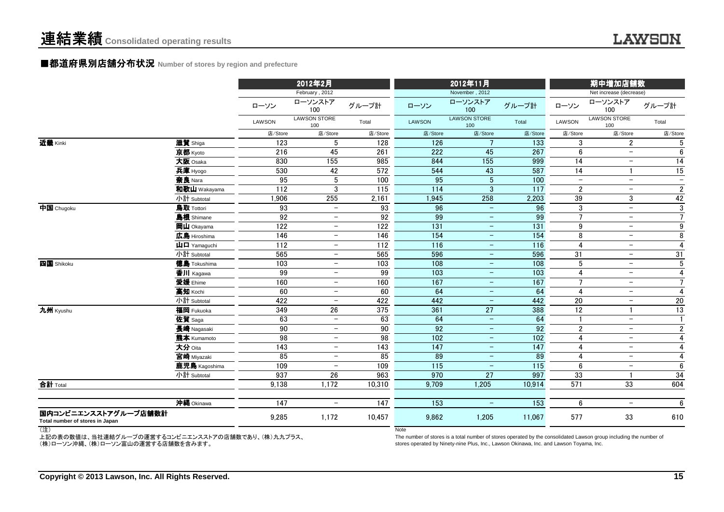#### ■都道府県別店舗分布状況 Number of stores by region and prefecture

|                                                         |                                                                                     |                  | 2012年2月                    |                  |                   | 2012年11月                   |                  | 期中増加店舗数                  |                            |                          |
|---------------------------------------------------------|-------------------------------------------------------------------------------------|------------------|----------------------------|------------------|-------------------|----------------------------|------------------|--------------------------|----------------------------|--------------------------|
|                                                         |                                                                                     |                  | February, 2012             |                  |                   | November, 2012             |                  |                          | Net increase (decrease)    |                          |
|                                                         |                                                                                     | ローソン             | ローソンストア<br>100             | グループ計            | ローソン              | ローソンストア<br>100             | グループ計            | ローソン                     | ローソンストア<br>100             | グループ計                    |
|                                                         |                                                                                     | LAWSON           | <b>LAWSON STORE</b><br>100 | Total            | <b>LAWSON</b>     | <b>LAWSON STORE</b><br>100 | Total            | LAWSON                   | <b>LAWSON STORE</b><br>100 | Total                    |
|                                                         |                                                                                     | 店/Store          | 店/Store                    | 店/Store          | 店/Store           | 店/Store                    | 店/Store          | 店/Store                  | 店/Store                    | 店/Store                  |
| 近畿 Kinki                                                | 滋賀 Shiga                                                                            | 123              | 5                          | 128              | 126               |                            | 133              | 3                        | $\overline{2}$             | 5                        |
|                                                         | 京都 Kyoto                                                                            | 216              | 45                         | 261              | 222               | 45                         | 267              | $6\phantom{1}6$          | $\overline{\phantom{m}}$   | 6                        |
|                                                         | 大阪 Osaka                                                                            | 830              | 155                        | 985              | 844               | 155                        | 999              | 14                       | $\overline{\phantom{m}}$   | $\overline{14}$          |
|                                                         | 兵庫 Hyogo                                                                            | 530              | 42                         | $\overline{572}$ | 544               | 43                         | 587              | 14                       | $\overline{1}$             | $\overline{15}$          |
|                                                         | 奈良 Nara                                                                             | 95               | 5                          | 100              | 95                | $5\phantom{.0}$            | 100              | $\overline{\phantom{m}}$ | $\overline{\phantom{m}}$   | $\overline{\phantom{m}}$ |
|                                                         | 和歌山 Wakayama                                                                        | 112              | 3                          | 115              | 114               | $\mathfrak{3}$             | $\overline{117}$ | $\overline{2}$           | $\overline{\phantom{m}}$   | $\overline{2}$           |
|                                                         | 小計 Subtotal                                                                         | 1,906            | 255                        | 2,161            | 1,945             | 258                        | 2,203            | 39                       | 3                          | 42                       |
| 中国 Chugoku                                              | 鳥取 Tottori                                                                          | 93               | $\overline{\phantom{0}}$   | 93               | 96                | $\equiv$                   | 96               | 3                        | $-$                        | $\overline{3}$           |
|                                                         | 島根 Shimane                                                                          | 92               | $\qquad \qquad -$          | 92               | 99                | $\overline{\phantom{m}}$   | 99               | $\overline{7}$           | $\overline{\phantom{m}}$   | $\overline{7}$           |
|                                                         | 岡山 Okayama                                                                          | 122              | $\qquad \qquad -$          | 122              | 131               | $\overline{\phantom{m}}$   | 131              | 9                        | $\overline{\phantom{m}}$   | $\boldsymbol{9}$         |
|                                                         | 広島 Hiroshima                                                                        | 146              | $\qquad \qquad -$          | 146              | $\frac{154}{ }$   | $\overline{\phantom{m}}$   | 154              | 8                        | $\overline{\phantom{m}}$   | 8                        |
|                                                         | $\mathbf{\mathbf{\underline{u}}}$ $\mathbf{\mathbf{\underline{\square}}}$ Yamaquchi | 112              | $\overline{\phantom{0}}$   | $\overline{112}$ | $\frac{116}{116}$ | $\qquad \qquad -$          | 116              | $\overline{4}$           | $\overline{\phantom{m}}$   | $\overline{4}$           |
|                                                         | 小計 Subtotal                                                                         | 565              | $\overline{\phantom{m}}$   | 565              | 596               | $\qquad \qquad -$          | 596              | 31                       | $\overline{\phantom{m}}$   | 31                       |
| 四国 Shikoku                                              | <b>徳島</b> Tokushima                                                                 | 103              | $\qquad \qquad -$          | 103              | 108               | $\overline{\phantom{0}}$   | 108              | 5                        | $\overline{\phantom{m}}$   | $\sqrt{5}$               |
|                                                         | 香川 Kagawa                                                                           | 99               | $\overline{\phantom{m}}$   | 99               | 103               | $\qquad \qquad -$          | 103              | $\overline{4}$           | $\overline{\phantom{m}}$   | $\overline{4}$           |
|                                                         | 愛媛 Ehime                                                                            | 160              | $\overline{\phantom{m}}$   | 160              | 167               | $\overline{\phantom{m}}$   | 167              | $\overline{7}$           | $\overline{\phantom{m}}$   | $\overline{7}$           |
|                                                         | 高知 Kochi                                                                            | 60               | $\overline{\phantom{0}}$   | 60               | 64                | $\overline{\phantom{m}}$   | 64               | $\overline{4}$           | $\overline{\phantom{m}}$   | $\overline{\mathbf{4}}$  |
|                                                         | 小計 Subtotal                                                                         | 422              | $\overline{\phantom{0}}$   | 422              | 442               | $\overline{\phantom{m}}$   | 442              | $\overline{20}$          | $\overline{\phantom{m}}$   | 20                       |
| 九州 Kyushu                                               | 福岡 Fukuoka                                                                          | 349              | $\overline{26}$            | 375              | 361               | $\overline{27}$            | 388              | $\overline{12}$          | $\mathbf{1}$               | $\overline{13}$          |
|                                                         | 佐賀 Saga                                                                             | 63               | $\overline{\phantom{0}}$   | 63               | 64                | $\overline{\phantom{m}}$   | 64               |                          | $\overline{\phantom{m}}$   | $\mathbf{1}$             |
|                                                         | 長崎 Nagasaki                                                                         | 90               | $\qquad \qquad -$          | 90               | 92                | $\equiv$                   | 92               | $\boldsymbol{2}$         | $\overline{\phantom{m}}$   | $\overline{2}$           |
|                                                         | 熊本 Kumamoto                                                                         | 98               | $\overline{\phantom{0}}$   | $\overline{98}$  | 102               | $\overline{\phantom{m}}$   | 102              | $\overline{4}$           | $\overline{\phantom{m}}$   | $\overline{\mathbf{4}}$  |
|                                                         | 大分 Oita                                                                             | 143              | $\overline{\phantom{0}}$   | 143              | 147               | $\overline{\phantom{m}}$   | 147              | $\overline{4}$           | $\overline{\phantom{0}}$   | $\overline{4}$           |
|                                                         | 宮崎 Miyazaki                                                                         | 85               | $\qquad \qquad -$          | 85               | 89                | $\overline{\phantom{m}}$   | 89               | $\overline{4}$           | $\overline{\phantom{0}}$   | $\overline{4}$           |
|                                                         | 鹿児島 Kagoshima                                                                       | 109              | $\overline{\phantom{0}}$   | 109              | 115               | $\qquad \qquad -$          | 115              | 6                        | $\overline{\phantom{m}}$   | 6                        |
|                                                         | 小計 Subtotal                                                                         | 937              | $26\,$                     | 963              | 970               | 27                         | 997              | 33                       | $\overline{\mathbf{1}}$    | 34                       |
| 合計 Total                                                |                                                                                     | 9.138            | 1,172                      | 10,310           | 9,709             | 1,205                      | 10,914           | 571                      | 33                         | 604                      |
|                                                         | 沖縄 Okinawa                                                                          | $\overline{147}$ | $\qquad \qquad -$          | $\overline{147}$ | $\overline{153}$  | $\qquad \qquad -$          | 153              | 6                        | $\overline{\phantom{a}}$   | 6                        |
| 国内コンビニエンスストアグループ店舗数計<br>Total number of stores in Japan |                                                                                     | 9,285            | 1,172                      | 10,457           | 9,862             | 1,205                      | 11,067           | 577                      | 33                         | 610                      |

(注)

 上記の表の数値は、当社連結グループの運営するコンビニエンスストアの店舗数であり、(株)九九プラス、(株)ローソン沖縄、(株)ローソン富山の運営する店舗数を含みます。

**Note** 

 The number of stores is a total number of stores operated by the consolidated Lawson group including the number ofstores operated by Ninety-nine Plus, Inc., Lawson Okinawa, Inc. and Lawson Toyama, Inc.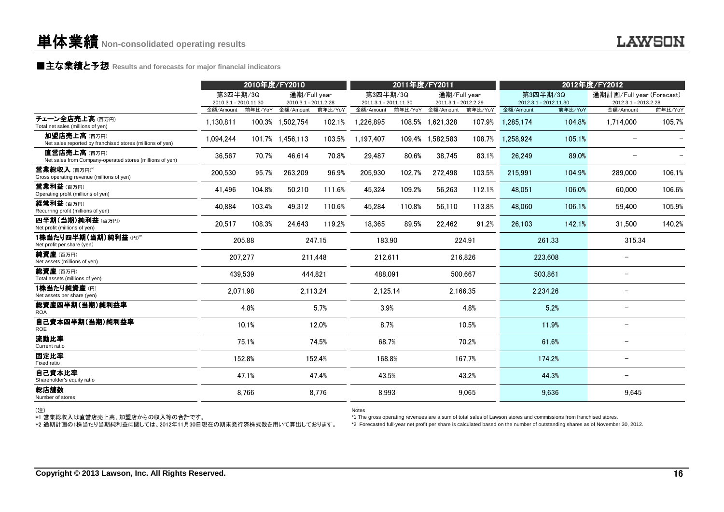### **■主な業績と予想** Results and forecasts for major financial indicators<br>
————————————————————

|                                                                          | 2010年度/FY2010                      |          |                                   |          | 2011年度/FY2011                      |         |                                   |          | 2012年度/FY2012                      |          |                                   |         |
|--------------------------------------------------------------------------|------------------------------------|----------|-----------------------------------|----------|------------------------------------|---------|-----------------------------------|----------|------------------------------------|----------|-----------------------------------|---------|
|                                                                          | 第3四半期/3Q                           |          | 通期/Full vear                      |          | 第3四半期/3Q                           |         | 通期/Full year                      |          |                                    | 第3四半期/3Q | 通期計画/Full year (Forecast)         |         |
|                                                                          | 2010.3.1 - 2010.11.30<br>金額/Amount | 前年比/YoY  | 2010.3.1 - 2011.2.28<br>金額/Amount | 前年比/YoY  | 2011.3.1 - 2011.11.30<br>金額/Amount | 前年比/YoY | 2011.3.1 - 2012.2.29<br>金額/Amount | 前年比/YoY  | 2012.3.1 - 2012.11.30<br>金額/Amount | 前年比/YoY  | 2012.3.1 - 2013.2.28<br>金額/Amount | 前年比/YoY |
| チェーン全店売上高(百万円)<br>Total net sales (millions of yen)                      | 1,130,811                          |          | 100.3% 1,502,754                  | 102.1%   | 1,226,895                          |         | 108.5% 1,621,328                  | 107.9%   | 1.285.174                          | 104.8%   | 1,714,000                         | 105.7%  |
| 加盟店売上高(百万円)<br>Net sales reported by franchised stores (millions of yen) | 1,094,244                          |          | 101.7% 1,456,113                  | 103.5%   | 1,197,407                          |         | 109.4% 1,582,583                  | 108.7%   | 1,258,924                          | 105.1%   |                                   |         |
| 直営店売上高(百万円)<br>Net sales from Company-operated stores (millions of yen)  | 36,567                             | 70.7%    | 46,614                            | 70.8%    | 29.487                             | 80.6%   | 38.745                            | 83.1%    | 26.249                             | 89.0%    |                                   |         |
| 営業総収入(百万円)*1<br>Gross operating revenue (millions of yen)                | 200.530                            | 95.7%    | 263,209                           | 96.9%    | 205.930                            | 102.7%  | 272.498                           | 103.5%   | 215.991                            | 104.9%   | 289,000                           | 106.1%  |
| 営業利益 (百万円)<br>Operating profit (millions of yen)                         | 41.496                             | 104.8%   | 50,210                            | 111.6%   | 45,324                             | 109.2%  | 56,263                            | 112.1%   | 48.051                             | 106.0%   | 60,000                            | 106.6%  |
| 経常利益(百万円)<br>Recurring profit (millions of yen)                          | 40,884                             | 103.4%   | 49,312                            | 110.6%   | 45,284                             | 110.8%  | 56,110                            | 113.8%   | 48.060                             | 106.1%   | 59.400                            | 105.9%  |
| 四半期(当期)純利益(百万円)<br>Net profit (millions of yen)                          | 20,517                             | 108.3%   | 24,643                            | 119.2%   | 18,365                             | 89.5%   | 22,462                            | 91.2%    | 26.103                             | 142.1%   | 31.500                            | 140.2%  |
| 1株当たり四半期(当期)純利益(円)*2<br>Net profit per share (yen)                       |                                    | 205.88   |                                   | 247.15   | 183.90                             |         |                                   | 224.91   |                                    | 261.33   | 315.34                            |         |
| 純資産(百万円)<br>Net assets (millions of yen)                                 |                                    | 207,277  |                                   | 211.448  | 212,611                            |         |                                   | 216.826  |                                    | 223,608  | -                                 |         |
| 総資産(百万円)<br>Total assets (millions of yen)                               |                                    | 439,539  |                                   | 444,821  | 488,091                            |         |                                   | 500,667  |                                    | 503,861  | $\qquad \qquad -$                 |         |
| 1株当たり純資産(円)<br>Net assets per share (yen)                                |                                    | 2,071.98 |                                   | 2,113.24 | 2,125.14                           |         |                                   | 2,166.35 |                                    | 2,234.26 | $\qquad \qquad -$                 |         |
| 総資産四半期(当期)純利益率<br><b>ROA</b>                                             |                                    | 4.8%     |                                   | 5.7%     | 3.9%                               |         |                                   | 4.8%     |                                    | 5.2%     | $\qquad \qquad -$                 |         |
| 自己資本四半期(当期)純利益率<br><b>ROE</b>                                            |                                    | 10.1%    |                                   | 12.0%    | 8.7%                               |         |                                   | 10.5%    |                                    | 11.9%    | $\qquad \qquad -$                 |         |
| 流動比率<br>Current ratio                                                    |                                    | 75.1%    |                                   | 74.5%    | 68.7%                              |         |                                   | 70.2%    |                                    | 61.6%    | $\qquad \qquad -$                 |         |
| 固定比率<br>Fixed ratio                                                      |                                    | 152.8%   |                                   | 152.4%   | 168.8%                             |         |                                   | 167.7%   |                                    | 174.2%   | $\qquad \qquad -$                 |         |
| 自己資本比率<br>Shareholder's equity ratio                                     |                                    | 47.1%    |                                   | 47.4%    | 43.5%                              |         |                                   | 43.2%    |                                    | 44.3%    | $\qquad \qquad -$                 |         |
| 総店舗数<br>Number of stores                                                 |                                    | 8,766    |                                   | 8.776    | 8,993                              |         |                                   | 9.065    |                                    | 9,636    | 9.645                             |         |

(注)

\*1 営業総収入は直営店売上高、加盟店からの収入等の合計です。

Notes

\*1 The gross operating revenues are a sum of total sales of Lawson stores and commissions from franchised stores.

\*2 通期計画の1株当たり当期純利益に関しては、2012年11月30日現在の期末発行済株式数を用いて算出しております。

\*2 Forecasted full-year net profit per share is calculated based on the number of outstanding shares as of November 30, 2012.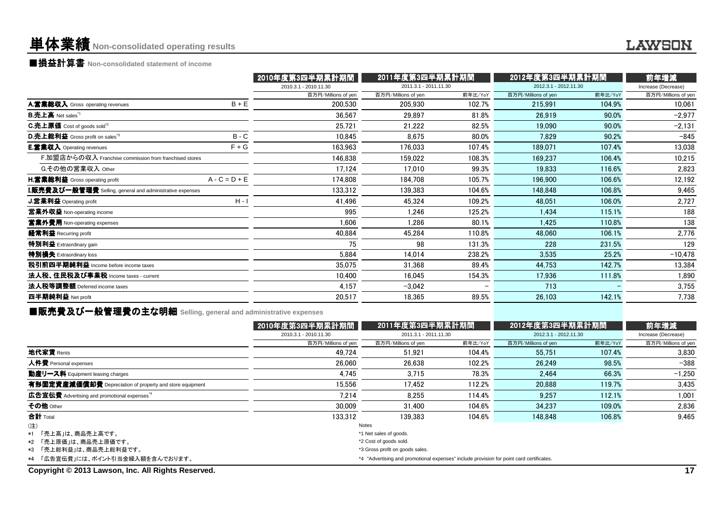# 単体業績**Non-consolidated operating results**

■損益計算書 **Non-consolidated statement of income**

|                                                                  |                 | 2010年度第3四半期累計期間       | 2011年度第3四半期累計期間       |         | 2012年度第3四半期累計期間       |         | 前年増減                |
|------------------------------------------------------------------|-----------------|-----------------------|-----------------------|---------|-----------------------|---------|---------------------|
|                                                                  |                 | 2010.3.1 - 2010.11.30 | 2011.3.1 - 2011.11.30 |         | 2012.3.1 - 2012.11.30 |         | Increase (Decrease) |
|                                                                  |                 | 百万円/Millions of yen   | 百万円/Millions of yen   | 前年比/YoY | 百万円/Millions of yen   | 前年比/YoY | 百万円/Millions of yen |
| A.営業総収入 Gross operating revenues                                 | $B + E$         | 200,530               | 205,930               | 102.7%  | 215,991               | 104.9%  | 10,061              |
| <b>B.売上高</b> Net sales <sup>*1</sup>                             |                 | 36,567                | 29,897                | 81.8%   | 26,919                | 90.0%   | $-2,977$            |
| C.売上原価 Cost of goods sold <sup>*2</sup>                          |                 | 25,721                | 21,222                | 82.5%   | 19,090                | 90.0%   | $-2,131$            |
| D.売上総利益 Gross profit on sales"3                                  | $B - C$         | 10,845                | 8.675                 | 80.0%   | 7.829                 | 90.2%   | $-845$              |
| <b>E.営業収入</b> Operating revenues                                 | $F + G$         | 163,963               | 176,033               | 107.4%  | 189,071               | 107.4%  | 13,038              |
| F.加盟店からの収入 Franchise commission from franchised stores           |                 | 146,838               | 159,022               | 108.3%  | 169.237               | 106.4%  | 10,215              |
| G.その他の営業収入 Other                                                 |                 | 17,124                | 17,010                | 99.3%   | 19,833                | 116.6%  | 2,823               |
| <b>H.営業総利益</b> Gross operating profit                            | $A - C = D + E$ | 174,808               | 184,708               | 105.7%  | 196.900               | 106.6%  | 12,192              |
| <b>I.販売費及び一般管理費</b> Selling, general and administrative expenses |                 | 133,312               | 139,383               | 104.6%  | 148,848               | 106.8%  | 9,465               |
| <b>J.営業利益</b> Operating profit                                   | $H - I$         | 41,496                | 45,324                | 109.2%  | 48,051                | 106.0%  | 2,727               |
| 営業外収益 Non-operating income                                       |                 | 995                   | 1,246                 | 125.2%  | 1,434                 | 115.1%  | 188                 |
| 當業外費用 Non-operating expenses                                     |                 | 1,606                 | 1,286                 | 80.1%   | 1,425                 | 110.8%  | 138                 |
| 経常利益 Recurring profit                                            |                 | 40,884                | 45,284                | 110.8%  | 48,060                | 106.1%  | 2,776               |
| 特別利益 Extraordinary gain                                          |                 | 75                    | 98                    | 131.3%  | 228                   | 231.5%  | 129                 |
| 特別損失 Extraordinary loss                                          |                 | 5,884                 | 14,014                | 238.2%  | 3,535                 | 25.2%   | $-10,478$           |
| 税引前四半期純利益 Income before income taxes                             |                 | 35,075                | 31,368                | 89.4%   | 44,753                | 142.7%  | 13,384              |
| 法人税、住民税及び事業税 Income taxes - current                              |                 | 10.400                | 16,045                | 154.3%  | 17,936                | 111.8%  | 1,890               |
| 法人税等調整額 Deferred income taxes                                    |                 | 4,157                 | $-3,042$              |         | 713                   |         | 3,755               |
| 四半期純利益 Net profit                                                |                 | 20,517                | 18,365                | 89.5%   | 26,103                | 142.1%  | 7,738               |
|                                                                  |                 |                       |                       |         |                       |         |                     |

■販売費及び一般管理費の主な明細 **Selling, general and administrative expenses**

|                                                          | 2010年度第3四半期累計期間                                                                          | 2011年度第3四半期累計期間       |         | 2012年度第3四半期累計期間       |         | 前年増減                |  |
|----------------------------------------------------------|------------------------------------------------------------------------------------------|-----------------------|---------|-----------------------|---------|---------------------|--|
|                                                          | 2010.3.1 - 2010.11.30                                                                    | 2011.3.1 - 2011.11.30 |         | 2012.3.1 - 2012.11.30 |         | Increase (Decrease) |  |
|                                                          | 百万円/Millions of yen                                                                      | 百万円/Millions of yen   | 前年比/YoY | 百万円/Millions of yen   | 前年比/YoY | 百万円/Millions of yen |  |
| 地代家賃 Rents                                               | 49.724                                                                                   | 51.921                | 104.4%  | 55.751                | 107.4%  | 3.830               |  |
| 人件費 Personal expenses                                    | 26.060                                                                                   | 26.638                | 102.2%  | 26.249                | 98.5%   | $-388$              |  |
| 動産リース料 Equipment leasing charges                         | 4,745                                                                                    | 3,715                 | 78.3%   | 2.464                 | 66.3%   | $-1,250$            |  |
| 有形固定資産減価償却費 Depreciation of property and store equipment | 15.556                                                                                   | 17.452                | 112.2%  | 20.888                | 119.7%  | 3,435               |  |
| 広告宣伝費 Advertising and promotional expenses <sup>*4</sup> | 7.214                                                                                    | 8.255                 | 114.4%  | 9.257                 | 112.1%  | 1.001               |  |
| その他 Other                                                | 30,009                                                                                   | 31.400                | 104.6%  | 34.237                | 109.0%  | 2,836               |  |
| 合計 Total                                                 | 133.312                                                                                  | 139.383               | 104.6%  | 148,848               | 106.8%  | 9.465               |  |
| (注)                                                      |                                                                                          | Notes                 |         |                       |         |                     |  |
| *1 「売上高」は、商品売上高です。                                       | *1 Net sales of goods.                                                                   |                       |         |                       |         |                     |  |
| *2 「売上原価」は、商品売上原価です。                                     | *2 Cost of goods sold.                                                                   |                       |         |                       |         |                     |  |
| *3 「売上総利益」は、商品売上総利益です。                                   | *3 Gross profit on goods sales.                                                          |                       |         |                       |         |                     |  |
| *4 「広告宣伝費」には、ポイント引当金繰入額を含んでおります。                         | *4 "Advertising and promotional expenses" include provision for point card certificates. |                       |         |                       |         |                     |  |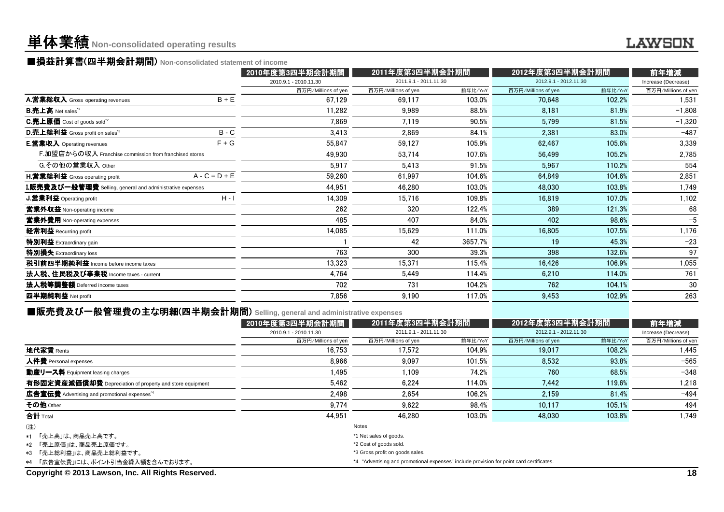# 単体業績**Non-consolidated operating results**

# ■損益計算書(四半期会計期間) Non-consolidated statement of income<br>● 2010年度第

|                                                                                             |                 | 2010年度第3四半期会計期間       | 2011年度第3四半期会計期間       |         | 2012年度第3四半期会計期間       |         | 前年増減                |
|---------------------------------------------------------------------------------------------|-----------------|-----------------------|-----------------------|---------|-----------------------|---------|---------------------|
|                                                                                             |                 | 2010.9.1 - 2010.11.30 | 2011.9.1 - 2011.11.30 |         | 2012.9.1 - 2012.11.30 |         | Increase (Decrease) |
|                                                                                             |                 | 百万円/Millions of yen   | 百万円/Millions of yen   | 前年比/YoY | 百万円/Millions of yen   | 前年比/YoY | 百万円/Millions of yen |
| A.営業総収入 Gross operating revenues                                                            | $B + E$         | 67,129                | 69,117                | 103.0%  | 70,648                | 102.2%  | 1,531               |
| <b>B.売上高</b> Net sales <sup>"1</sup>                                                        |                 | 11.282                | 9.989                 | 88.5%   | 8.181                 | 81.9%   | $-1,808$            |
| $C.E.E原価 Cost of goods sold*2$                                                              |                 | 7,869                 | 7.119                 | 90.5%   | 5,799                 | 81.5%   | $-1,320$            |
| D.売上総利益 Gross profit on sales <sup>*3</sup>                                                 | $B - C$         | 3,413                 | 2.869                 | 84.1%   | 2,381                 | 83.0%   | $-487$              |
| <b>E.営業収入</b> Operating revenues                                                            | $F + G$         | 55,847                | 59,127                | 105.9%  | 62,467                | 105.6%  | 3,339               |
| F.加盟店からの収入 Franchise commission from franchised stores                                      |                 | 49,930                | 53,714                | 107.6%  | 56,499                | 105.2%  | 2,785               |
| G.その他の営業収入 Other                                                                            |                 | 5,917                 | 5,413                 | 91.5%   | 5,967                 | 110.2%  | 554                 |
| <b>H.営業総利益</b> Gross operating profit                                                       | $A - C = D + E$ | 59,260                | 61,997                | 104.6%  | 64,849                | 104.6%  | 2,851               |
| ${\bf I}.$ 販売費及び一般管理費 Selling, general and administrative expenses $\overline{\phantom{a}}$ |                 | 44,951                | 46,280                | 103.0%  | 48,030                | 103.8%  | 1,749               |
| <b>J.営業利益</b> Operating profit                                                              | $H - I$         | 14,309                | 15,716                | 109.8%  | 16,819                | 107.0%  | 1,102               |
| 営業外収益 Non-operating income                                                                  |                 | 262                   | 320                   | 122.4%  | 389                   | 121.3%  | 68                  |
| 営業外費用 Non-operating expenses                                                                |                 | 485                   | 407                   | 84.0%   | 402                   | 98.6%   | $-5$                |
| 経常利益 Recurring profit                                                                       |                 | 14,085                | 15,629                | 111.0%  | 16,805                | 107.5%  | 1,176               |
| 特別利益 Extraordinary gain                                                                     |                 |                       | 42                    | 3657.7% | 19                    | 45.3%   | $-23$               |
| 特別損失 Extraordinary loss                                                                     |                 | 763                   | 300                   | 39.3%   | 398                   | 132.6%  | 97                  |
| 税引前四半期純利益 Income before income taxes                                                        |                 | 13,323                | 15,371                | 115.4%  | 16,426                | 106.9%  | 1,055               |
| 法人税、住民税及び事業税 Income taxes - current                                                         |                 | 4,764                 | 5.449                 | 114.4%  | 6,210                 | 114.0%  | 761                 |
| 法人税等調整額 Deferred income taxes                                                               |                 | 702                   | 731                   | 104.2%  | 762                   | 104.1%  | 30                  |
| 四半期純利益 Net profit                                                                           |                 | 7,856                 | 9,190                 | 117.0%  | 9,453                 | 102.9%  | 263                 |
|                                                                                             |                 |                       |                       |         |                       |         |                     |

### ■販売費及び一般管理費の主な明細(四半期会計期間 (四半期会計期間) **Selling, general and administrative expenses**

|                                                          | 2010年度第3四半期会計期間                 | 2011年度第3四半期会計期間                                                                          |         | 2012年度第3四半期会計期間       |         | 前年増減                |
|----------------------------------------------------------|---------------------------------|------------------------------------------------------------------------------------------|---------|-----------------------|---------|---------------------|
|                                                          | 2010.9.1 - 2010.11.30           | 2011.9.1 - 2011.11.30                                                                    |         | 2012.9.1 - 2012.11.30 |         | Increase (Decrease) |
|                                                          | 百万円/Millions of yen             | 百万円/Millions of yen                                                                      | 前年比/YoY | 百万円/Millions of yen   | 前年比/YoY | 百万円/Millions of yen |
| 地代家賃 Rents                                               | 16.753                          | 17.572                                                                                   | 104.9%  | 19.017                | 108.2%  | 1.445               |
| 人件費 Personal expenses                                    | 8.966                           | 9.097                                                                                    | 101.5%  | 8.532                 | 93.8%   | $-565$              |
| 動産リース料 Equipment leasing charges                         | 1.495                           | 1.109                                                                                    | 74.2%   | 760                   | 68.5%   | $-348$              |
| 有形固定資産減価償却費 Depreciation of property and store equipment | 5,462                           | 6.224                                                                                    | 114.0%  | 7.442                 | 119.6%  | 1,218               |
| 広告宣伝費 Advertising and promotional expenses <sup>*4</sup> | 2.498                           | 2.654                                                                                    | 106.2%  | 2.159                 | 81.4%   | $-494$              |
| その他 Other                                                | 9.774                           | 9.622                                                                                    | 98.4%   | 10.117                | 105.1%  | 494                 |
| 合計 Total                                                 | 44.951                          | 46.280                                                                                   | 103.0%  | 48.030                | 103.8%  | 1.749               |
| (注)                                                      |                                 | Notes                                                                                    |         |                       |         |                     |
| *1 「売上高」は、商品売上高です。                                       |                                 | *1 Net sales of goods.                                                                   |         |                       |         |                     |
| *2 「売上原価」は、商品売上原価です。                                     | *2 Cost of goods sold.          |                                                                                          |         |                       |         |                     |
| *3 「売上総利益」は、商品売上総利益です。                                   | *3 Gross profit on goods sales. |                                                                                          |         |                       |         |                     |
| *4 「広告宣伝費」には、ポイント引当金繰入額を含んでおります。                         |                                 | *4 "Advertising and promotional expenses" include provision for point card certificates. |         |                       |         |                     |
|                                                          |                                 |                                                                                          |         |                       |         |                     |

**Copyright © 2013 Lawson, Inc. All Rights Reserved.**

#### **LAWSON**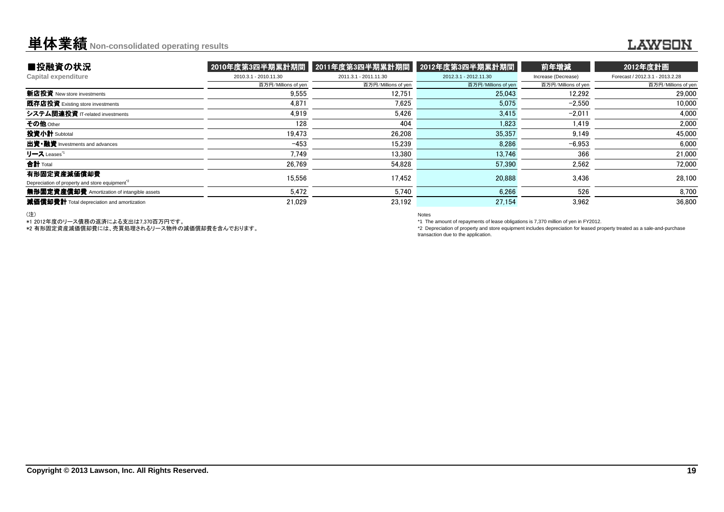### **単体業績** Non-consolidated operating results

#### **LAWSON**

| ■投融資の状況                                                                  | 2010年度第3四半期累計期間       | 2011年度第3四半期累計期間       | 2012年度第3四半期累計期間       | 前年増減                | 2012年度計画                        |
|--------------------------------------------------------------------------|-----------------------|-----------------------|-----------------------|---------------------|---------------------------------|
| <b>Capital expenditure</b>                                               | 2010.3.1 - 2010.11.30 | 2011.3.1 - 2011.11.30 | 2012.3.1 - 2012.11.30 | Increase (Decrease) | Forecast / 2012.3.1 - 2013.2.28 |
|                                                                          | 百万円/Millions of yen   | 百万円/Millions of yen   | 百万円/Millions of yen   | 百万円/Millions of yen | 百万円/Millions of yen             |
| 新店投資 New store investments                                               | 9,555                 | 12.751                | 25,043                | 12.292              | 29,000                          |
| 既存店投資 Existing store investments                                         | 4.871                 | 7.625                 | 5.075                 | $-2.550$            | 10,000                          |
| システム関連投資 IT-related investments                                          | 4.919                 | 5.426                 | 3.415                 | $-2.011$            | 4,000                           |
| その他 Other                                                                | 128                   | 404                   | 1.823                 | 1.419               | 2,000                           |
| 投資小計 Subtotal                                                            | 19.473                | 26.208                | 35,357                | 9.149               | 45,000                          |
| 出資•融資 Investments and advances                                           | $-453$                | 15.239                | 8.286                 | $-6.953$            | 6.000                           |
| リース Leases <sup>"1</sup>                                                 | 7.749                 | 13.380                | 13,746                | 366                 | 21,000                          |
| 合計 Total                                                                 | 26,769                | 54.828                | 57,390                | 2,562               | 72,000                          |
| 有形固定資産減価償却費<br>Depreciation of property and store equipment <sup>2</sup> | 15.556                | 17.452                | 20,888                | 3.436               | 28,100                          |
| 無形固定資産償却費 Amortization of intangible assets                              | 5.472                 | 5.740                 | 6.266                 | 526                 | 8,700                           |
| 減価償却費計 Total depreciation and amortization                               | 21.029                | 23.192                | 27,154                | 3.962               | 36.800                          |

(注)

\*1 2012年度のリース債務の返済による支出は7,370百万円です。 \*2 有形固定資産減価償却費には、売買処理されるリース物件の減価償却費を含んでおります。

Notes

\*1 The amount of repayments of lease obligations is 7,370 million of yen in FY2012.

 \*2 Depreciation of property and store equipment includes depreciation for leased property treated as a sale-and-purchasetransaction due to the application.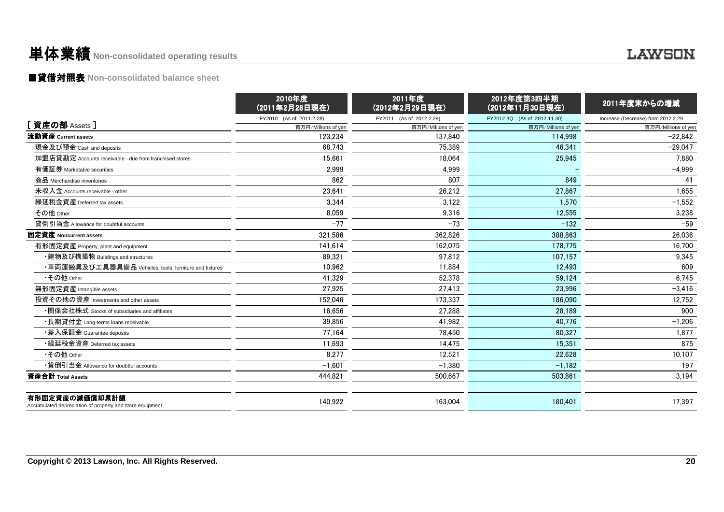### 単体業績**Non-consolidated operating results**

### ■貸借対照表 **Non-consolidated balance sheet**

|                                                                            | 2010年度<br>(2011年2月28日現在) | 2011年度<br>(2012年2月29日現在) | 2012年度第3四半期<br>(2012年11月30日現在) | 2011年度末からの増減                       |
|----------------------------------------------------------------------------|--------------------------|--------------------------|--------------------------------|------------------------------------|
|                                                                            | FY2010 (As of 2011.2.28) | FY2011 (As of 2012.2.29) | FY2012 3Q (As of 2012.11.30)   | Increase (Decrease) from 2012.2.29 |
| [ 資産の部 Assets ]                                                            | 百万円/Millions of yen      | 百万円/Millions of yen      | 百万円/Millions of yen            | 百万円/Millions of yen                |
| 流動資産 Current assets                                                        | 123.234                  | 137.840                  | 114.998                        | $-22.842$                          |
| 現金及び預金 Cash and deposits                                                   | 68.743                   | 75.389                   | 46.341                         | $-29.047$                          |
| 加盟店貸勘定 Accounts receivable - due from franchised stores                    | 15.661                   | 18.064                   | 25,945                         | 7.880                              |
| 有価証券 Marketable securities                                                 | 2,999                    | 4,999                    |                                | $-4,999$                           |
| 商品 Merchandise inventories                                                 | 862                      | 807                      | 849                            | 41                                 |
| 未収入金 Accounts receivable - other                                           | 23,641                   | 26,212                   | 27,867                         | 1,655                              |
| 繰延税金資産 Deferred tax assets                                                 | 3,344                    | 3,122                    | 1,570                          | $-1,552$                           |
| その他 Other                                                                  | 8,059                    | 9,316                    | 12,555                         | 3,238                              |
| 貸倒引当金 Allowance for doubtful accounts                                      | $-77$                    | $-73$                    | $-132$                         | $-59$                              |
| 固定資産 Noncurrent assets                                                     | 321.586                  | 362.826                  | 388.863                        | 26.036                             |
| 有形固定資産 Property, plant and equipment                                       | 141.614                  | 162.075                  | 178.775                        | 16.700                             |
| ・建物及び構築物 Buildings and structures                                          | 89.321                   | 97,812                   | 107.157                        | 9,345                              |
| ・車両運搬具及び工具器具備品 Vehicles, tools, furniture and fixtures                     | 10,962                   | 11.884                   | 12.493                         | 609                                |
| •その他 Other                                                                 | 41.329                   | 52.378                   | 59.124                         | 6,745                              |
| 無形固定資産 Intangible assets                                                   | 27,925                   | 27,413                   | 23,996                         | $-3,416$                           |
| 投資その他の資産 Investments and other assets                                      | 152,046                  | 173.337                  | 186.090                        | 12,752                             |
| ・関係会社株式 Stocks of subsidiaries and affiliates                              | 16,656                   | 27,288                   | 28.189                         | 900                                |
| ・長期貸付金 Long-terms loans receivable                                         | 39,856                   | 41,982                   | 40,776                         | $-1,206$                           |
| •差入保証金 Guarantee deposits                                                  | 77,164                   | 78,450                   | 80,327                         | 1,877                              |
| •繰延税金資産 Deferred tax assets                                                | 11,693                   | 14.475                   | 15.351                         | 875                                |
| •その他 Other                                                                 | 8.277                    | 12.521                   | 22.628                         | 10,107                             |
| •貸倒引当金 Allowance for doubtful accounts                                     | $-1.601$                 | $-1.380$                 | $-1,182$                       | 197                                |
| 資産合計 Total Assets                                                          | 444,821                  | 500,667                  | 503,861                        | 3,194                              |
| 有形固定資産の減価償却累計額<br>Accumulated depreciation of property and store equipment | 140,922                  | 163.004                  | 180.401                        | 17.397                             |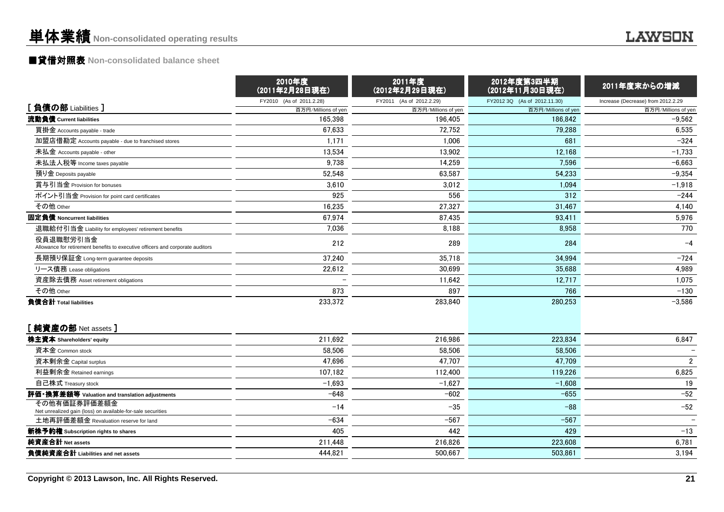# ■貸借対照表 **Non-consolidated balance sheet**

|                                                                                             | 2010年度<br>(2011年2月28日現在)       | 2011年度<br>(2012年2月29日現在)       | 2012年度第3四半期<br>(2012年11月30日現在) | 2011年度末からの増減                       |
|---------------------------------------------------------------------------------------------|--------------------------------|--------------------------------|--------------------------------|------------------------------------|
| [負債の部 Liabilities ]                                                                         | FY2010 (As of 2011.2.28)       | FY2011 (As of 2012.2.29)       | FY2012 3Q (As of 2012.11.30)   | Increase (Decrease) from 2012.2.29 |
| 流動負債 Current liabilities                                                                    | 百万円/Millions of yen<br>165,398 | 百万円/Millions of yen<br>196.405 | 百万円/Millions of yen<br>186,842 | 百万円/Millions of yen<br>$-9,562$    |
| 買掛金 Accounts payable - trade                                                                | 67,633                         | 72,752                         | 79.288                         | 6,535                              |
| 加盟店借勘定 Accounts payable - due to franchised stores                                          | 1,171                          | 1,006                          | 681                            | $-324$                             |
| 未払金 Accounts payable - other                                                                | 13,534                         | 13,902                         | 12,168                         | $-1,733$                           |
| 未払法人税等 Income taxes payable                                                                 | 9,738                          | 14,259                         | 7,596                          | $-6,663$                           |
| 預り金 Deposits payable                                                                        | 52,548                         | 63,587                         | 54,233                         | $-9,354$                           |
| 賞与引当金 Provision for bonuses                                                                 | 3,610                          | 3,012                          | 1,094                          | $-1,918$                           |
| ポイント引当金 Provision for point card certificates                                               | 925                            | 556                            | 312                            | $-244$                             |
| その他 Other                                                                                   | 16,235                         | 27,327                         | 31,467                         | 4,140                              |
| 固定負債 Noncurrent liabilities                                                                 | 67,974                         | 87,435                         | 93,411                         | 5,976                              |
| 退職給付引当金 Liability for employees' retirement benefits                                        | 7,036                          | 8,188                          | 8,958                          | 770                                |
| 役員退職慰労引当金<br>Allowance for retirement benefits to executive officers and corporate auditors | 212                            | 289                            | 284                            | $-4$                               |
| 長期預り保証金 Long-term guarantee deposits                                                        | 37,240                         | 35,718                         | 34,994                         | $-724$                             |
| リース債務 Lease obligations                                                                     | 22,612                         | 30,699                         | 35,688                         | 4,989                              |
| 資産除去債務 Asset retirement obligations                                                         |                                | 11,642                         | 12,717                         | 1,075                              |
| その他 Other                                                                                   | 873                            | 897                            | 766                            | $-130$                             |
| 負債合計 Total liabilities                                                                      | 233,372                        | 283.840                        | 280.253                        | $-3,586$                           |
| [純資産の部 Net assets]                                                                          |                                |                                |                                |                                    |
| 株主資本 Shareholders' equity                                                                   | 211,692                        | 216,986                        | 223,834                        | 6,847                              |
| 資本金 Common stock                                                                            | 58,506                         | 58,506                         | 58,506                         |                                    |
| 資本剰余金 Capital surplus                                                                       | 47,696                         | 47,707                         | 47,709                         | $\overline{2}$                     |
| 利益剰余金 Retained earnings                                                                     | 107,182                        | 112.400                        | 119,226                        | 6,825                              |
| 自己株式 Treasury stock                                                                         | $-1,693$                       | $-1,627$                       | $-1,608$                       | 19                                 |
| 評価・換算差額等 Valuation and translation adjustments                                              | $-648$                         | $-602$                         | $-655$                         | $-52$                              |
| その他有価証券評価差額金<br>Net unrealized gain (loss) on available-for-sale securities                 | $-14$                          | $-35$                          | $-88$                          | $-52$                              |
| 土地再評価差額金 Revaluation reserve for land                                                       | $-634$                         | $-567$                         | $-567$                         |                                    |
| 新株予約権 Subscription rights to shares                                                         | 405                            | 442                            | 429                            | $-13$                              |
| 純資産合計 Net assets                                                                            | 211,448                        | 216,826                        | 223,608                        | 6,781                              |
| 負債純資産合計 Liabilities and net assets                                                          | 444,821                        | 500,667                        | 503,861                        | 3,194                              |